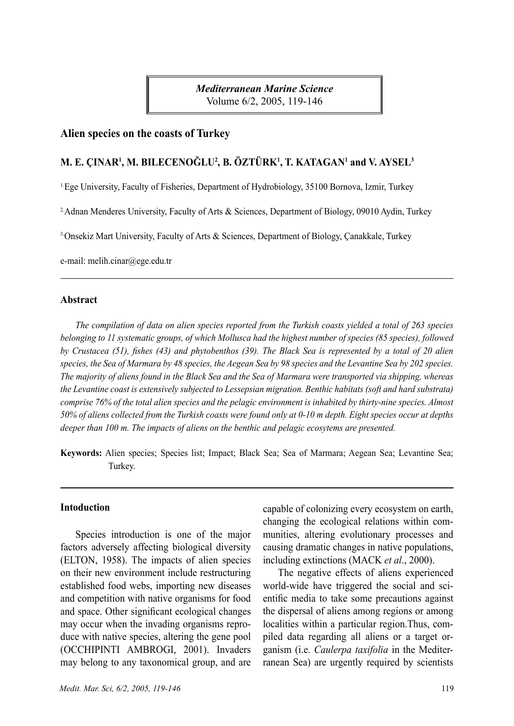*Mediterranean Marine Science* Volume 6/2, 2005, 119-146

### **Alien species on the coasts of Turkey**

### **M. E. ÇINAR<sup>1</sup> , M. BILECENOĞLU<sup>2</sup> , B. ÖZTÜRK1 , T. KATAGAN1 and V. AYSEL<sup>3</sup>**

1.Ege University, Faculty of Fisheries, Department of Hydrobiology, 35100 Bornova, Izmir, Turkey

2.Adnan Menderes University, Faculty of Arts & Sciences, Department of Biology, 09010 Aydin, Turkey

3.Onsekiz Mart University, Faculty of Arts & Sciences, Department of Biology, Çanakkale, Turkey

e-mail: melih.cinar@ege.edu.tr

#### **Abstract**

*The compilation of data on alien species reported from the Turkish coasts yielded a total of 263 species belonging to 11 systematic groups, of which Mollusca had the highest number of species (85 species), followed by Crustacea (51), fishes (43) and phytobenthos (39). The Black Sea is represented by a total of 20 alien species, the Sea of Marmara by 48 species, the Aegean Sea by 98 species and the Levantine Sea by 202 species. The majority of aliens found in the Black Sea and the Sea of Marmara were transported via shipping, whereas the Levantine coast is extensively subjected to Lessepsian migration. Benthic habitats (soft and hard substrata) comprise 76% of the total alien species and the pelagic environment is inhabited by thirty-nine species. Almost 50% of aliens collected from the Turkish coasts were found only at 0-10 m depth. Eight species occur at depths deeper than 100 m. The impacts of aliens on the benthic and pelagic ecosytems are presented.*

**Keywords:** Alien species; Species list; Impact; Black Sea; Sea of Marmara; Aegean Sea; Levantine Sea; Turkey.

## **Intoduction**

Species introduction is one of the major factors adversely affecting biological diversity (ELTON, 1958). The impacts of alien species on their new environment include restructuring established food webs, importing new diseases and competition with native organisms for food and space. Other significant ecological changes may occur when the invading organisms reproduce with native species, altering the gene pool (OCCHIPINTI AMBROGI, 2001). Invaders may belong to any taxonomical group, and are capable of colonizing every ecosystem on earth, changing the ecological relations within communities, altering evolutionary processes and causing dramatic changes in native populations, including extinctions (MACK *et al*., 2000).

The negative effects of aliens experienced world-wide have triggered the social and scientific media to take some precautions against the dispersal of aliens among regions or among localities within a particular region.Thus, compiled data regarding all aliens or a target organism (i.e. *Caulerpa taxifolia* in the Mediterranean Sea) are urgently required by scientists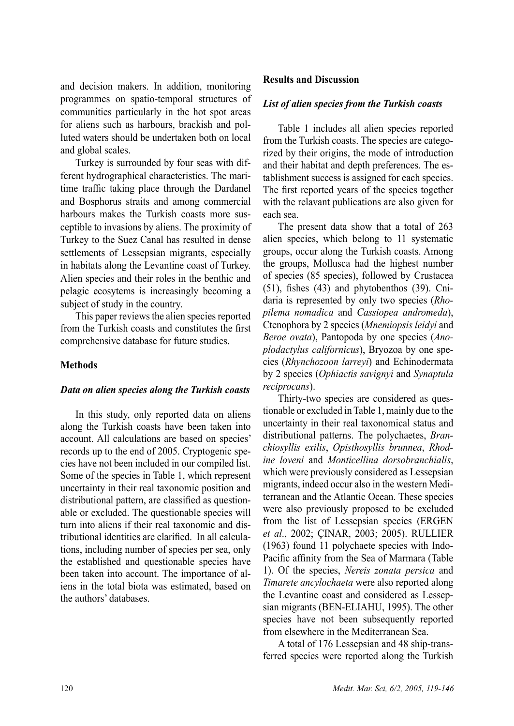and decision makers. In addition, monitoring programmes on spatio-temporal structures of communities particularly in the hot spot areas for aliens such as harbours, brackish and polluted waters should be undertaken both on local and global scales.

Turkey is surrounded by four seas with different hydrographical characteristics. The maritime traffic taking place through the Dardanel and Bosphorus straits and among commercial harbours makes the Turkish coasts more susceptible to invasions by aliens. The proximity of Turkey to the Suez Canal has resulted in dense settlements of Lessepsian migrants, especially in habitats along the Levantine coast of Turkey. Alien species and their roles in the benthic and pelagic ecosytems is increasingly becoming a subject of study in the country.

This paper reviews the alien species reported from the Turkish coasts and constitutes the first comprehensive database for future studies.

### **Methods**

### *Data on alien species along the Turkish coasts*

In this study, only reported data on aliens along the Turkish coasts have been taken into account. All calculations are based on species' records up to the end of 2005. Cryptogenic species have not been included in our compiled list. Some of the species in Table 1, which represent uncertainty in their real taxonomic position and distributional pattern, are classified as questionable or excluded. The questionable species will turn into aliens if their real taxonomic and distributional identities are clarified. In all calculations, including number of species per sea, only the established and questionable species have been taken into account. The importance of aliens in the total biota was estimated, based on the authors' databases.

### **Results and Discussion**

### *List of alien species from the Turkish coasts*

Table 1 includes all alien species reported from the Turkish coasts. The species are categorized by their origins, the mode of introduction and their habitat and depth preferences. The establishment success is assigned for each species. The first reported years of the species together with the relavant publications are also given for each sea.

The present data show that a total of 263 alien species, which belong to 11 systematic groups, occur along the Turkish coasts. Among the groups, Mollusca had the highest number of species (85 species), followed by Crustacea (51), fishes (43) and phytobenthos (39). Cnidaria is represented by only two species (*Rhopilema nomadica* and *Cassiopea andromeda*), Ctenophora by 2 species (*Mnemiopsis leidyi* and *Beroe ovata*), Pantopoda by one species (*Anoplodactylus californicus*), Bryozoa by one species (*Rhynchozoon larreyi*) and Echinodermata by 2 species (*Ophiactis savignyi* and *Synaptula reciprocans*).

Thirty-two species are considered as questionable or excluded in Table 1, mainly due to the uncertainty in their real taxonomical status and distributional patterns. The polychaetes, *Branchiosyllis exilis*, *Opisthosyllis brunnea*, *Rhodine loveni* and *Monticellina dorsobranchialis*, which were previously considered as Lessepsian migrants, indeed occur also in the western Mediterranean and the Atlantic Ocean. These species were also previously proposed to be excluded from the list of Lessepsian species (ERGEN *et al*., 2002; ÇINAR, 2003; 2005). RULLIER (1963) found 11 polychaete species with Indo-Pacific affinity from the Sea of Marmara (Table 1). Of the species, *Nereis zonata persica* and *Timarete ancylochaeta* were also reported along the Levantine coast and considered as Lessepsian migrants (BEN-ELIAHU, 1995). The other species have not been subsequently reported from elsewhere in the Mediterranean Sea.

A total of 176 Lessepsian and 48 ship-transferred species were reported along the Turkish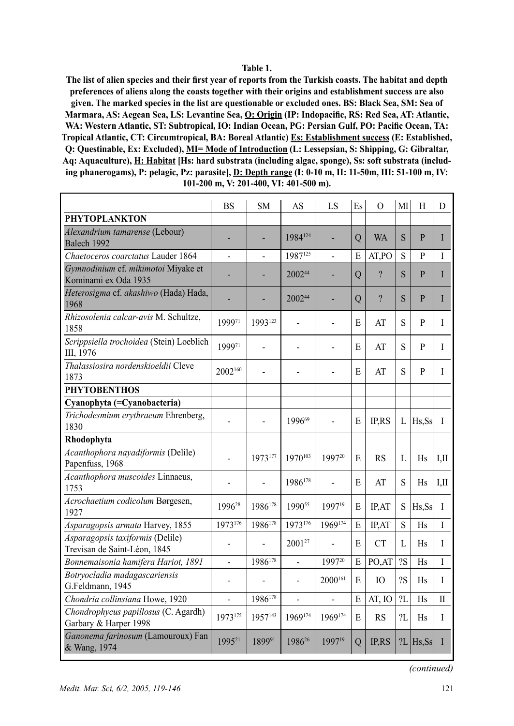#### **Table 1.**

**The list of alien species and their first year of reports from the Turkish coasts. The habitat and depth preferences of aliens along the coasts together with their origins and establishment success are also given. The marked species in the list are questionable or excluded ones. BS: Black Sea, SM: Sea of Marmara, AS: Aegean Sea, LS: Levantine Sea, O: Origin (IP: Indopacific, RS: Red Sea, AT: Atlantic, WA: Western Atlantic, ST: Subtropical, IO: Indian Ocean, PG: Persian Gulf, PO: Pacific Ocean, TA: Tropical Atlantic, CT: Circumtropical, BA: Boreal Atlantic) Es: Establishment success (E: Established, Q: Questinable, Ex: Excluded), MI= Mode of Introduction (L: Lessepsian, S: Shipping, G: Gibraltar, Aq: Aquaculture), H: Habitat [Hs: hard substrata (including algae, sponge), Ss: soft substrata (including phanerogams), P: pelagic, Pz: parasite], D: Depth range (I: 0-10 m, II: 11-50m, III: 51-100 m, IV: 101-200 m, V: 201-400, VI: 401-500 m).**

|                                                                  | <b>BS</b>                | <b>SM</b> | AS                       | LS                       | Es             | $\Omega$            | MI        | H                    | D            |
|------------------------------------------------------------------|--------------------------|-----------|--------------------------|--------------------------|----------------|---------------------|-----------|----------------------|--------------|
| <b>PHYTOPLANKTON</b>                                             |                          |           |                          |                          |                |                     |           |                      |              |
| Alexandrium tamarense (Lebour)<br>Balech 1992                    |                          |           | 1984124                  |                          | $\mathbf Q$    | <b>WA</b>           | S         | P                    | L            |
| Chaetoceros coarctatus Lauder 1864                               |                          |           | 1987125                  |                          | E              | AT,PO               | S         | P                    | I            |
| Gymnodinium cf. mikimotoi Miyake et<br>Kominami ex Oda 1935      |                          |           | 200244                   |                          | $\mathbf Q$    | $\boldsymbol{\eta}$ | S         | P                    | L            |
| Heterosigma cf. akashiwo (Hada) Hada,<br>1968                    |                          |           | 200244                   |                          | Q              | $\overline{?}$      | S         | P                    | L            |
| Rhizosolenia calcar-avis M. Schultze,<br>1858                    | 199971                   | 1993123   |                          |                          | E              | AT                  | S         | P                    | I            |
| Scrippsiella trochoidea (Stein) Loeblich<br>III, 1976            | 199971                   |           |                          |                          | E              | AT                  | S         | P                    | I            |
| Thalassiosira nordenskioeldii Cleve<br>1873                      | 2002160                  |           |                          |                          | E              | AT                  | S         | P                    | I            |
| <b>PHYTOBENTHOS</b>                                              |                          |           |                          |                          |                |                     |           |                      |              |
| Cyanophyta (=Cyanobacteria)                                      |                          |           |                          |                          |                |                     |           |                      |              |
| Trichodesmium erythraeum Ehrenberg,<br>1830                      |                          |           | 199669                   |                          | E              | IP,RS               | L         | Hs,Ss                | $\mathbf I$  |
| Rhodophyta                                                       |                          |           |                          |                          |                |                     |           |                      |              |
| Acanthophora nayadiformis (Delile)<br>Papenfuss, 1968            |                          | 1973177   | 1970103                  | 199720                   | E              | <b>RS</b>           | L         | <b>H<sub>s</sub></b> | $L$ II       |
| Acanthophora muscoides Linnaeus,<br>1753                         |                          |           | 1986178                  |                          | E              | AT                  | S         | Hs                   | $L$ II       |
| Acrochaetium codicolum Børgesen,<br>1927                         | 1996 <sup>28</sup>       | 1986178   | 199055                   | 199719                   | E              | <b>IP.AT</b>        | S         | Hs.Ss                | $\mathbf{I}$ |
| Asparagopsis armata Harvey, 1855                                 | 1973176                  | 1986178   | 1973176                  | 1969174                  | E              | IP,AT               | S         | Hs                   | $\mathbf{I}$ |
| Asparagopsis taxiformis (Delile)<br>Trevisan de Saint-Léon, 1845 | $\overline{a}$           |           | 200127                   |                          | E              | <b>CT</b>           | L         | Hs                   | L            |
| Bonnemaisonia hamifera Hariot, 1891                              | $\overline{\phantom{0}}$ | 1986178   | $\overline{a}$           | 199720                   | E              | PO,AT               | <b>2S</b> | <b>H<sub>s</sub></b> | $\mathbf{I}$ |
| Botryocladia madagascariensis<br>G.Feldmann, 1945                | $\overline{a}$           |           | $\overline{\phantom{0}}$ | 2000 <sup>161</sup>      | E              | IO                  | ?S        | <b>Hs</b>            | L            |
| Chondria collinsiana Howe, 1920                                  | $\overline{a}$           | 1986178   | $\overline{a}$           | $\overline{\phantom{0}}$ | E              | AT, IO              | 2L        | <b>Hs</b>            | H            |
| Chondrophycus papillosus (C. Agardh)<br>Garbary & Harper 1998    | 1973175                  | 1957143   | 1969174                  | 1969174                  | E              | <b>RS</b>           | 2L        | Hs                   | L            |
| Ganonema farinosum (Lamouroux) Fan<br>& Wang, 1974               | 1995 <sup>21</sup>       | 189991    | 198626                   | 199719                   | $\overline{Q}$ | <b>IPRS</b>         |           | $?L$ Hs, Ss          | L            |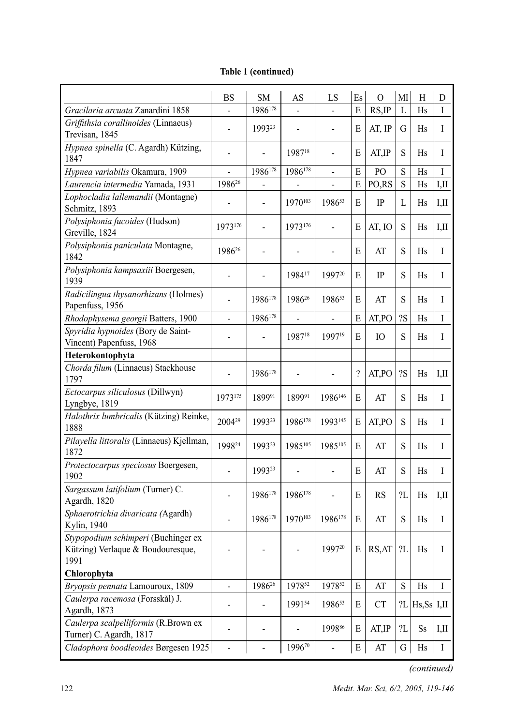|                                                                                  | <b>BS</b>                    | <b>SM</b>                | AS                       | LS                           | Es.       | $\overline{O}$         | MI        | Н                    | D       |
|----------------------------------------------------------------------------------|------------------------------|--------------------------|--------------------------|------------------------------|-----------|------------------------|-----------|----------------------|---------|
| Gracilaria arcuata Zanardini 1858                                                |                              | 1986178                  |                          |                              | E         | RS, IP                 | L         | <b>H<sub>s</sub></b> | I       |
| Griffithsia corallinoides (Linnaeus)                                             |                              | 199323                   |                          |                              | E         | AT, IP                 | G         | Hs                   | I       |
| Trevisan, 1845                                                                   |                              |                          |                          |                              |           |                        |           |                      |         |
| Hypnea spinella (C. Agardh) Kützing,<br>1847                                     | $\overline{a}$               |                          | 198718                   | $\overline{a}$               | E         | AT, IP                 | S         | Hs                   | L       |
| Hypnea variabilis Okamura, 1909                                                  | -                            | 1986178                  | 1986178                  | $\overline{\phantom{0}}$     | E         | PO                     | S         | <b>Hs</b>            | I       |
| Laurencia intermedia Yamada, 1931                                                | 1986 <sup>26</sup>           |                          |                          | $\qquad \qquad \blacksquare$ | E         | PO,RS                  | S         | Hs                   | IJЛ     |
| Lophocladia lallemandii (Montagne)<br>Schmitz, 1893                              |                              |                          | 1970103                  | 198653                       | E         | IP                     | L         | Hs                   | IJЛ     |
| Polysiphonia fucoides (Hudson)<br>Greville, 1824                                 | 1973176                      |                          | 1973176                  | ÷,                           | E         | AT, IO                 | S         | Hs                   | IП      |
| Polysiphonia paniculata Montagne,<br>1842                                        | 198626                       |                          |                          |                              | E         | AT                     | S         | Hs                   | I       |
| Polysiphonia kampsaxiii Boergesen,<br>1939                                       |                              |                          | 198417                   | 199720                       | E         | IP                     | S         | Hs                   | Ι       |
| Radicilingua thysanorhizans (Holmes)<br>Papenfuss, 1956                          |                              | 1986178                  | 198626                   | 198653                       | E         | AT                     | S         | Hs                   | L       |
| Rhodophysema georgii Batters, 1900                                               | -                            | 1986178                  | $\overline{a}$           | $\qquad \qquad -$            | E         | AT,PO                  | ?S        | Hs                   | Ι       |
| Spyridia hypnoides (Bory de Saint-<br>Vincent) Papenfuss, 1968                   | -                            |                          | 198718                   | 1997 <sup>19</sup>           | E         | IO                     | S         | Hs                   | I       |
| Heterokontophyta                                                                 |                              |                          |                          |                              |           |                        |           |                      |         |
| Chorda filum (Linnaeus) Stackhouse                                               |                              |                          |                          |                              |           |                        |           |                      |         |
| 1797                                                                             |                              | 1986178                  |                          |                              | $\gamma$  | AT,PO                  | ?S        | Hs                   | LП      |
| Ectocarpus siliculosus (Dillwyn)<br>Lyngbye, 1819                                | 1973175                      | 189991                   | 189991                   | 1986146                      | E         | AT                     | S         | Hs                   | Ι       |
| Halothrix lumbricalis (Kützing) Reinke,                                          | 2004 <sup>29</sup>           | 199323                   | 1986178                  | 1993145                      | E         | AT,PO                  | S         | Hs                   | L       |
| 1888                                                                             |                              |                          |                          |                              |           |                        |           |                      |         |
| Pilayella littoralis (Linnaeus) Kjellman,<br>1872                                | 199824                       | 199323                   | 1985105                  | 1985105                      | E         | AT                     | S         | Hs                   | I       |
| Protectocarpus speciosus Boergesen,<br>1902                                      | L,                           | 199323                   |                          |                              | E         | AT                     | S         | Hs                   | I       |
| Sargassum latifolium (Turner) C.<br>Agardh, 1820                                 |                              | 1986178                  | 1986178                  |                              | E         | <b>RS</b>              | ?L        | Hs                   | IЛ      |
| Sphaerotrichia divaricata (Agardh)<br>Kylin, 1940                                |                              | 1986178                  | 1970103                  | 1986178                      | E         | AT                     | S         | Hs                   | Ι       |
| Stypopodium schimperi (Buchinger ex<br>Kützing) Verlaque & Boudouresque,<br>1991 |                              |                          | $\overline{\phantom{a}}$ | 199720                       | E         | RS, AT                 | 2L        | Hs                   | I       |
| Chlorophyta                                                                      |                              |                          |                          |                              |           |                        |           |                      |         |
| Bryopsis pennata Lamouroux, 1809                                                 | $\overline{a}$               | 1986 <sup>26</sup>       | 197852                   | 197852                       | E         | AT                     | ${\bf S}$ | Hs                   | Ι       |
| Caulerpa racemosa (Forsskål) J.<br>Agardh, 1873                                  | $\qquad \qquad \blacksquare$ | $\overline{a}$           | 199154                   | 198653                       | E         | <b>CT</b>              |           | $?L$ Hs, Ss I, II    |         |
| Caulerpa scalpelliformis (R.Brown ex<br>Turner) C. Agardh, 1817                  |                              |                          |                          | 199886                       | ${\bf E}$ | AT, IP                 | 2L        | Ss                   | I,II    |
| Cladophora boodleoides Børgesen 1925                                             | $\overline{a}$               | $\overline{\phantom{a}}$ | 199670                   | $\frac{1}{2}$                | ${\bf E}$ | $\mathbf{A}\mathbf{T}$ | G         | Hs                   | $\rm I$ |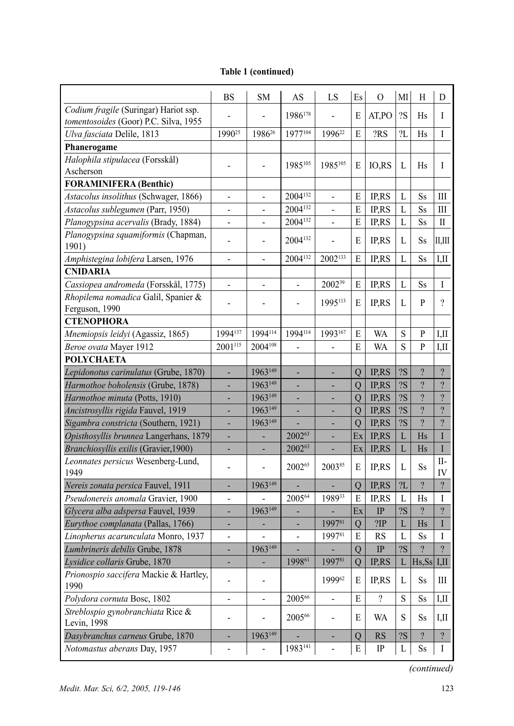|                                        | BS                       | SМ                 | AS                       | LS                 | Es             | $\mathbf{O}$             | MI | Н                        | D                        |
|----------------------------------------|--------------------------|--------------------|--------------------------|--------------------|----------------|--------------------------|----|--------------------------|--------------------------|
| Codium fragile (Suringar) Hariot ssp.  |                          |                    | 1986178                  |                    | E              | AT,PO                    | ?S | Hs                       | I                        |
| tomentosoides (Goor) P.C. Silva, 1955  |                          |                    |                          |                    |                |                          |    |                          |                          |
| Ulva fasciata Delile, 1813             | 1990 <sup>25</sup>       | 1986 <sup>26</sup> | 1977104                  | 1996 <sup>22</sup> | E              | ?RS                      | 2L | Hs                       | Ι                        |
| Phanerogame                            |                          |                    |                          |                    |                |                          |    |                          |                          |
| Halophila stipulacea (Forsskål)        |                          |                    | 1985105                  | 1985105            | Е              | IO, RS                   | L  | Hs                       | Ι                        |
| Ascherson                              |                          |                    |                          |                    |                |                          |    |                          |                          |
| <b>FORAMINIFERA</b> (Benthic)          |                          |                    |                          |                    |                |                          |    |                          |                          |
| Astacolus insolithus (Schwager, 1866)  | $\qquad \qquad -$        | $\overline{a}$     | 2004132                  | $\qquad \qquad -$  | E              | <b>IPRS</b>              | L  | Ss                       | Ш                        |
| Astacolus sublegumen (Parr, 1950)      | -                        |                    | 2004132                  |                    | E              | IP,RS                    | L  | Ss                       | Ш                        |
| Planogypsina acervalis (Brady, 1884)   | -                        |                    | 2004132                  |                    | E              | IP,RS                    | L  | Ss                       | П                        |
| Planogypsina squamiformis (Chapman,    | $\overline{a}$           |                    | 2004132                  |                    | Е              | IP,RS                    | L  | Ss                       | Щ,Ш                      |
| 1901)                                  |                          |                    |                          |                    |                |                          |    |                          |                          |
| Amphistegina lobifera Larsen, 1976     | $\overline{\phantom{0}}$ |                    | 2004132                  | 2002133            | E              | IP,RS                    | L  | Ss                       | I,II                     |
| <b>CNIDARIA</b>                        |                          |                    |                          |                    |                |                          |    |                          |                          |
| Cassiopea andromeda (Forsskål, 1775)   | $\overline{\phantom{0}}$ |                    | -                        | 2002 <sup>39</sup> | Е              | IP,RS                    | L  | Ss                       | I                        |
| Rhopilema nomadica Galil, Spanier &    |                          |                    | ÷,                       | 1995113            | E              | IP,RS                    | L  | P                        | $\gamma$                 |
| Ferguson, 1990                         |                          |                    |                          |                    |                |                          |    |                          |                          |
| <b>CTENOPHORA</b>                      |                          |                    |                          |                    |                |                          |    |                          |                          |
| Mnemiopsis leidyi (Agassiz, 1865)      | 1994137                  | 1994114            | 1994114                  | 1993167            | E              | WA                       | S  | P                        | IJ                       |
| Beroe ovata Mayer 1912                 | 2001115                  | 2004108            |                          |                    | Е              | <b>WA</b>                | S  | P                        | I,II                     |
| <b>POLYCHAETA</b>                      |                          |                    |                          |                    |                |                          |    |                          |                          |
| Lepidonotus carinulatus (Grube, 1870)  |                          | 1963149            |                          |                    | Q              | IP,RS                    | ?S | $\overline{?}$           | $\overline{?}$           |
| Harmothoe boholensis (Grube, 1878)     |                          | 1963149            |                          |                    | Q              | IP,RS                    | ?S | $\overline{?}$           | $\overline{?}$           |
| Harmothoe minuta (Potts, 1910)         |                          | 1963149            |                          |                    | Q              | IP,RS                    | ?S | $\overline{?}$           | $\overline{\mathcal{L}}$ |
| Ancistrosyllis rigida Fauvel, 1919     |                          | 1963149            |                          |                    | Q              | IP,RS                    | ?S | $\overline{?}$           | $\overline{\mathcal{L}}$ |
| Sigambra constricta (Southern, 1921)   |                          | 1963149            |                          |                    | $\overline{Q}$ | IP,RS                    | ?S | $\overline{?}$           | $\overline{\mathcal{L}}$ |
| Opisthosyllis brunnea Langerhans, 1879 |                          |                    | 200263                   |                    | Ex             | IP,RS                    | L  | Hs                       | $\mathbf I$              |
| Branchiosyllis exilis (Gravier, 1900)  |                          |                    | 200263                   |                    | Ex             | IP,RS                    | L  | Hs                       | $\rm I$                  |
| Leonnates persicus Wesenberg-Lund,     |                          |                    | 200265                   | 200385             | E              |                          | L  |                          | II-                      |
| 1949                                   | $\overline{a}$           |                    |                          |                    |                | IP,RS                    |    | Ss                       | IV                       |
| Nereis zonata persica Fauvel, 1911     | ٠                        | 1963149            |                          |                    | $\mathbf Q$    | <b>IPRS</b>              | 2L | $\overline{?}$           | $\overline{?}$           |
| Pseudonereis anomala Gravier, 1900     | $\overline{\phantom{0}}$ |                    | 200564                   | 198933             | E              | IP,RS                    | L  | Hs                       | I                        |
| Glycera alba adspersa Fauvel, 1939     | ۰                        | 1963149            |                          |                    | Ex             | IP                       | ?S | $\overline{\mathcal{L}}$ | $\overline{\mathcal{E}}$ |
| Eurythoe complanata (Pallas, 1766)     | ۰                        |                    | ٠                        | 199781             | Q              | ?IP                      | L  | Hs                       | $\mathbf{I}$             |
| Linopherus acarunculata Monro, 1937    | $\overline{\phantom{0}}$ |                    | $\overline{\phantom{a}}$ | 199781             | E              | <b>RS</b>                | L  | <b>Ss</b>                | I                        |
| Lumbrineris debilis Grube, 1878        | ۰                        | 1963149            |                          |                    | $\overline{Q}$ | $\rm IP$                 | 2S | $\overline{?}$           | $\overline{?}$           |
| Lysidice collaris Grube, 1870          |                          |                    | 199861                   | 199781             | Q              | IP,RS                    |    | L $ Hs, Ss $ I,II        |                          |
| Prionospio saccifera Mackie & Hartley, |                          |                    |                          | 199962             |                |                          |    |                          |                          |
| 1990                                   |                          |                    |                          |                    | Е              | IP,RS                    | L  | Ss                       | Ш                        |
| Polydora cornuta Bosc, 1802            | $\overline{\phantom{0}}$ |                    | 200566                   | $\frac{1}{2}$      | $\mathbf E$    | $\overline{\mathcal{L}}$ | S  | Ss                       | I,II                     |
| Streblospio gynobranchiata Rice &      | -                        |                    | 200566                   | $\frac{1}{2}$      | Е              | WA                       | S  | Ss                       | IJ                       |
| Levin, 1998                            |                          |                    |                          |                    |                |                          |    |                          |                          |
| Dasybranchus carneus Grube, 1870       |                          | 1963149            |                          |                    | Q              | RS                       | 2S | $\gamma$                 | $\overline{\mathcal{E}}$ |
| Notomastus aberans Day, 1957           |                          |                    | $1983^{141}$             |                    | Ε              | IP                       | L  | Ss                       | $\bf{I}$                 |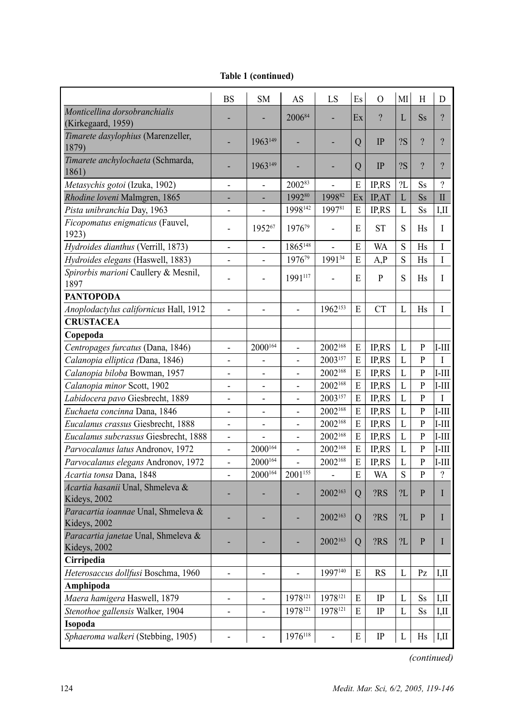|  | Table 1 (continued) |
|--|---------------------|
|--|---------------------|

|                                                  | <b>BS</b>                    | <b>SM</b>                | AS                       | LS                  | Es             | $\Omega$       | MI           | H                        | D                   |
|--------------------------------------------------|------------------------------|--------------------------|--------------------------|---------------------|----------------|----------------|--------------|--------------------------|---------------------|
| Monticellina dorsobranchialis                    |                              |                          | 200684                   |                     | Ex             | $\overline{?}$ | $\mathbf{L}$ | Ss.                      | $\overline{?}$      |
| (Kirkegaard, 1959)                               |                              |                          |                          |                     |                |                |              |                          |                     |
| Timarete dasylophius (Marenzeller,               |                              | 1963149                  |                          |                     | Q              | IP             | ?S           | $\gamma$                 | $\boldsymbol{\eta}$ |
| 1879)                                            |                              |                          |                          |                     |                |                |              |                          |                     |
| Timarete anchylochaeta (Schmarda,                |                              | 1963149                  |                          |                     | Q              | IP             | <b>?S</b>    | $\overline{\mathcal{C}}$ | $\gamma$            |
| 1861)                                            |                              |                          |                          |                     |                |                |              |                          |                     |
| Metasychis gotoi (Izuka, 1902)                   | $\overline{a}$               | $\overline{a}$           | 200283                   | $\overline{a}$      | E              | IP,RS          | 2L           | Ss                       | $\gamma$            |
| Rhodine loveni Malmgren, 1865                    |                              |                          | 199280                   | 199882              | Ex             | IP.AT          | L            | Ss                       | $\mathbf{I}$        |
| Pista unibranchia Day, 1963                      | $\overline{\phantom{a}}$     | $\frac{1}{2}$            | 1998142                  | 199781              | E              | <b>IPRS</b>    | L            | Ss                       | I,II                |
| Ficopomatus enigmaticus (Fauvel,<br>1923)        | $\overline{a}$               | 195267                   | 197679                   | $\overline{a}$      | E              | <b>ST</b>      | S            | Hs                       | I                   |
| Hydroides dianthus (Verrill, 1873)               | $\overline{\phantom{a}}$     | $\overline{\phantom{a}}$ | 1865148                  |                     | E              | WA             | S            | Hs                       | I                   |
| Hydroides elegans (Haswell, 1883)                | $\overline{a}$               |                          | 197679                   | 199134              | E              | A, P           | S            | Hs                       | L                   |
| Spirorbis marioni Caullery & Mesnil,             | $\overline{a}$               |                          | 1991117                  |                     | E              | $\mathbf{p}$   | S            | Hs                       | L                   |
| 1897                                             |                              |                          |                          |                     |                |                |              |                          |                     |
| <b>PANTOPODA</b>                                 |                              |                          |                          |                     |                |                |              |                          |                     |
| Anoplodactylus californicus Hall, 1912           |                              |                          |                          | 1962153             | E              | <b>CT</b>      | $\mathbf{L}$ | Hs                       | I                   |
| <b>CRUSTACEA</b>                                 |                              |                          |                          |                     |                |                |              |                          |                     |
| Copepoda                                         |                              |                          |                          |                     |                |                |              |                          |                     |
| Centropages furcatus (Dana, 1846)                | L,                           | $2000^{164}$             | L,                       | 2002168             | E              | IP,RS          | L            | P                        | $I-III$             |
| Calanopia elliptica (Dana, 1846)                 | $\overline{a}$               |                          | $\overline{a}$           | 2003157             | E              | IP,RS          | L            | P                        | L                   |
| Calanopia biloba Bowman, 1957                    | $\overline{\phantom{a}}$     |                          | $\overline{\phantom{0}}$ | 2002 <sup>168</sup> | E              | IP,RS          | L            | P                        | $I-III$             |
| Calanopia minor Scott, 1902                      | $\blacksquare$               | $\overline{\phantom{a}}$ | ÷,                       | 2002 <sup>168</sup> | E              | IP,RS          | L            | P                        | $I-III$             |
| Labidocera pavo Giesbrecht, 1889                 | $\overline{a}$               |                          | $\overline{a}$           | 2003157             | E              | IP,RS          | L            | $\mathsf{P}$             | L                   |
| Euchaeta concinna Dana, 1846                     | $\overline{\phantom{a}}$     | $\overline{\phantom{a}}$ | $\blacksquare$           | 2002 <sup>168</sup> | E              | IP,RS          | L            | P                        | $I-III$             |
| Eucalanus crassus Giesbrecht, 1888               | $\overline{a}$               | $\frac{1}{2}$            | $\overline{a}$           | 2002 <sup>168</sup> | E              | IP,RS          | L            | $\mathbf{P}$             | $I-III$             |
| Eucalanus subcrassus Giesbrecht, 1888            | ÷,                           |                          | L,                       | 2002 <sup>168</sup> | E              | IP,RS          | $\mathbf{L}$ | P                        | $I-III$             |
| Parvocalanus latus Andronov, 1972                | $\blacksquare$               | 2000164                  | $\frac{1}{2}$            | 2002 <sup>168</sup> | E              | IP,RS          | L            | $\mathsf{P}$             | $I-III$             |
| Parvocalanus elegans Andronov, 1972              | $\overline{\phantom{a}}$     | 2000164                  |                          | 2002 <sup>168</sup> | E              | IP,RS          | L            | P                        | $I-III$             |
| Acartia tonsa Dana, 1848                         | $\overline{a}$               | 2000164                  | 2001155                  | $\overline{a}$      | E              | WA             | S            | P                        | $\gamma$            |
| Acartia hasanii Unal, Shmeleva &<br>Kideys, 2002 | ÷                            |                          |                          | 2002 <sup>163</sup> | Q              | ?RS            | 2L           | P                        | I                   |
| Paracartia ioannae Unal, Shmeleva &              |                              |                          |                          |                     |                |                |              |                          |                     |
| Kideys, 2002                                     |                              |                          | L.                       | 2002 <sup>163</sup> | $\overline{O}$ | ?RS            | 2L           | P                        | L                   |
| Paracartia janetae Unal, Shmeleva &              |                              |                          |                          | 2002163             | $\overline{O}$ | ?RS            | 2L           | $\mathbf{p}$             | $\mathbf{I}$        |
| Kideys, 2002                                     |                              |                          |                          |                     |                |                |              |                          |                     |
| Cirripedia                                       |                              |                          |                          |                     |                |                |              |                          |                     |
| Heterosaccus dollfusi Boschma, 1960              | $\overline{\phantom{a}}$     | $\overline{\phantom{a}}$ | $\overline{a}$           | 1997140             | E              | <b>RS</b>      | L            | Pz                       | $L$ II              |
| Amphipoda                                        |                              |                          |                          |                     |                |                |              |                          |                     |
| Maera hamigera Haswell, 1879                     | $\blacksquare$               | $\frac{1}{2}$            | 1978121                  | 1978121             | E              | IP             | L            | Ss                       | I.II                |
| Stenothoe gallensis Walker, 1904                 | $\qquad \qquad \blacksquare$ | ÷                        | 1978121                  | 1978121             | E              | IP             | $\mathbf{L}$ | Ss                       | I,II                |
| Isopoda                                          |                              |                          |                          |                     |                |                |              |                          |                     |
| Sphaeroma walkeri (Stebbing, 1905)               | $\overline{a}$               |                          | 1976118                  | $\overline{a}$      | E              | $\rm IP$       | L            | Hs                       | I,II                |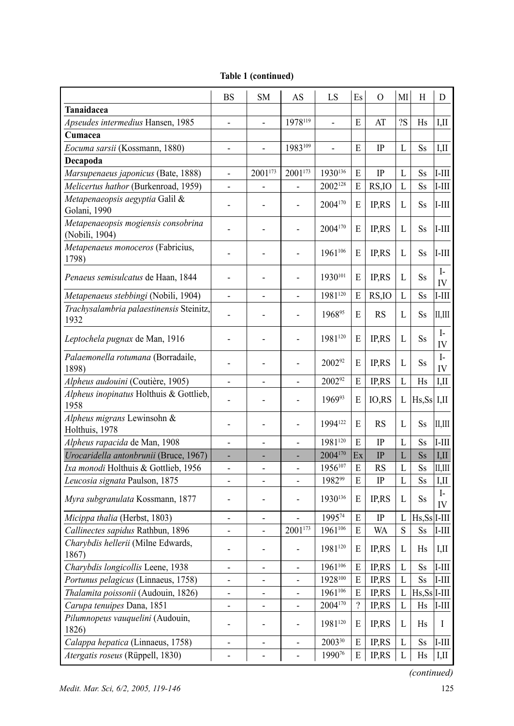|  | Table 1 (continued) |
|--|---------------------|
|--|---------------------|

|                                                       | <b>BS</b>                    | <b>SM</b> | AS                           | LS             | Es             | $\Omega$  | MI                      | H                         | D                           |
|-------------------------------------------------------|------------------------------|-----------|------------------------------|----------------|----------------|-----------|-------------------------|---------------------------|-----------------------------|
| Tanaidacea                                            |                              |           |                              |                |                |           |                         |                           |                             |
| Apseudes intermedius Hansen, 1985                     |                              |           | 1978119                      | $\overline{a}$ | E              | AT        | ?S                      | Hs                        | I,II                        |
| Cumacea                                               |                              |           |                              |                |                |           |                         |                           |                             |
| Eocuma sarsii (Kossmann, 1880)                        | $\overline{a}$               |           | 1983109                      | $\overline{a}$ | E              | IP        | L                       | <b>Ss</b>                 | I,II                        |
| Decapoda                                              |                              |           |                              |                |                |           |                         |                           |                             |
| Marsupenaeus japonicus (Bate, 1888)                   | $\overline{a}$               | 2001173   | 2001173                      | 1930136        | E              | IP        | L                       | <b>Ss</b>                 | I-III                       |
| Melicertus hathor (Burkenroad, 1959)                  | $\overline{a}$               |           | $\overline{a}$               | 2002128        | E              | RS, IO    | L                       | <b>Ss</b>                 | I-III                       |
| Metapenaeopsis aegyptia Galil &                       | $\overline{a}$               |           | ÷,                           | 2004170        | E              | IP,RS     | L                       | Ss                        | I-III                       |
| Golani, 1990                                          |                              |           |                              |                |                |           |                         |                           |                             |
| Metapenaeopsis mogiensis consobrina<br>(Nobili, 1904) |                              |           |                              | 2004170        | E              | IP,RS     | L                       | Ss                        | I-III                       |
| Metapenaeus monoceros (Fabricius,<br>1798)            |                              |           | $\overline{a}$               | 1961106        | E              | IP,RS     | L                       | Ss                        | I-III                       |
| Penaeus semisulcatus de Haan, 1844                    |                              |           |                              | 1930101        | E              | IP,RS     | L                       | Ss                        | $I-$<br>IV                  |
| Metapenaeus stebbingi (Nobili, 1904)                  |                              |           |                              | 1981120        | E              | RS, IO    | L                       | Ss                        | $I-III$                     |
| Trachysalambria palaestinensis Steinitz,<br>1932      |                              |           |                              | 196895         | E              | <b>RS</b> | L                       | Ss                        | II,III                      |
| Leptochela pugnax de Man, 1916                        |                              |           | $\overline{a}$               | 1981120        | E              | IP,RS     | L                       | Ss                        | $\mathbf{I}$<br>IV          |
| Palaemonella rotumana (Borradaile,<br>1898)           |                              |           | $\overline{a}$               | 200292         | E              | IP,RS     | L                       | Ss                        | $I-$<br>IV                  |
| Alpheus audouini (Coutière, 1905)                     |                              |           | $\overline{a}$               | 200292         | E              | IP,RS     | L                       | Hs                        | I,II                        |
| Alpheus inopinatus Holthuis & Gottlieb,<br>1958       |                              |           | $\overline{a}$               | 196993         | Е              | IO,RS     | L                       | $Hs, Ss$ I,II             |                             |
| Alpheus migrans Lewinsohn &<br>Holthuis, 1978         |                              |           |                              | 1994122        | E              | <b>RS</b> | L                       | Ss                        | II, III                     |
| Alpheus rapacida de Man, 1908                         | $\overline{a}$               |           | $\overline{a}$               | 1981120        | E              | IP        | L                       | <b>Ss</b>                 | I-III                       |
| Urocaridella antonbrunii (Bruce, 1967)                |                              |           |                              | 2004170        | Ex             | IP        | L                       | $\rm{S} \rm{s}$           | I,II                        |
| Ixa monodi Holthuis & Gottlieb, 1956                  | $\overline{\phantom{0}}$     |           | $\overline{a}$               | 1956107        | E              | <b>RS</b> | L                       | <b>Ss</b>                 | II, III                     |
| Leucosia signata Paulson, 1875                        | $\overline{\phantom{0}}$     |           | $\overline{a}$               | 198299         | E              | IP        | L                       | <b>Ss</b>                 | I,II                        |
| Myra subgranulata Kossmann, 1877                      |                              |           | $\overline{a}$               | 1930136        | E              | IP,RS     | L                       | Ss                        | $\mathbf{I}$<br>IV          |
| Micippa thalia (Herbst, 1803)                         | $\overline{\phantom{0}}$     | -         |                              | 199574         | E              | IP        | L                       | $Hs, Ss$  I-III           |                             |
| Callinectes sapidus Rathbun, 1896                     | $\overline{a}$               | -         | 2001173                      | 1961106        | E              | WA        | S                       | Ss                        | I-III                       |
| Charybdis hellerii (Milne Edwards,<br>1867)           |                              |           |                              | 1981120        | E              | IP,RS     | L                       | Hs                        | I,II                        |
| Charybdis longicollis Leene, 1938                     | -                            | -         | $\qquad \qquad \blacksquare$ | $1961^{106}$   | $\overline{E}$ | IP, RS    | $\overline{\mathbf{L}}$ | $\rm{S} \rm{s}$           | $\overline{\mathbb{I}$ -III |
| Portunus pelagicus (Linnaeus, 1758)                   | $\qquad \qquad \blacksquare$ | -         | $\qquad \qquad \blacksquare$ | 1928100        | E              | IP,RS     | L                       | Ss                        | I-III                       |
| Thalamita poissonii (Audouin, 1826)                   | $\qquad \qquad \blacksquare$ | -         | $\qquad \qquad \blacksquare$ | 1961106        | E              | IP,RS     | L                       | $Hs, Ss$ <sup>I-III</sup> |                             |
| Carupa tenuipes Dana, 1851                            | $\qquad \qquad -$            | -         | $\qquad \qquad \blacksquare$ | 2004170        | $\gamma$       | IP,RS     | L                       | Hs                        | I-III                       |
| Pilumnopeus vauquelini (Audouin,<br>1826)             | -                            |           | $\overline{\phantom{a}}$     | 1981120        | Е              | IP,RS     | L                       | Hs                        | Ι                           |
| Calappa hepatica (Linnaeus, 1758)                     | -                            |           | ۰                            | 200330         | E              | IP,RS     | L                       | Ss                        | I-III                       |
| Atergatis roseus (Rüppell, 1830)                      | $\overline{\phantom{0}}$     |           |                              | 199076         | E              | IP,RS     | L                       | Hs                        | I,II                        |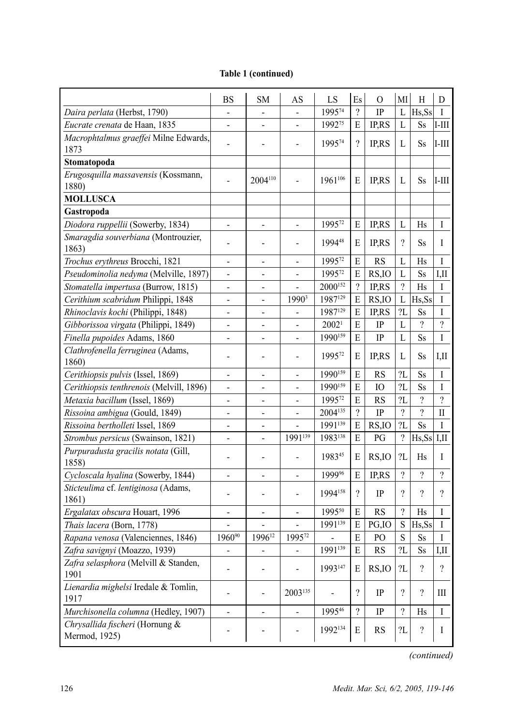|                                                  | <b>BS</b>                    | <b>SM</b>                    | AS                           | LS                | Es             | $\Omega$     | МI                       | H                        | D              |
|--------------------------------------------------|------------------------------|------------------------------|------------------------------|-------------------|----------------|--------------|--------------------------|--------------------------|----------------|
| Daira perlata (Herbst, 1790)                     | $\overline{a}$               |                              | $\overline{a}$               | 199574            | $\gamma$       | IP           | L                        | Hs, Ss                   | I              |
| Eucrate crenata de Haan, 1835                    |                              | ÷,                           | $\overline{a}$               | 199275            | E              | <b>IP,RS</b> | $\mathbf{L}$             | Ss                       | $I-III$        |
| Macrophtalmus graeffei Milne Edwards,<br>1873    |                              |                              | L                            | 199574            | $\gamma$       | IP,RS        | L                        | <b>Ss</b>                | I-III          |
| Stomatopoda                                      |                              |                              |                              |                   |                |              |                          |                          |                |
| Erugosquilla massavensis (Kossmann,<br>1880)     |                              | 2004 <sup>110</sup>          |                              | 1961106           | E              | <b>IP.RS</b> | L                        | <b>Ss</b>                | $I-III$        |
| <b>MOLLUSCA</b>                                  |                              |                              |                              |                   |                |              |                          |                          |                |
| Gastropoda                                       |                              |                              |                              |                   |                |              |                          |                          |                |
| Diodora ruppellii (Sowerby, 1834)                | $\overline{\phantom{m}}$     | $\overline{\phantom{a}}$     | $\overline{\phantom{a}}$     | 199572            | E              | IP,RS        | L                        | Hs                       | I              |
| Smaragdia souverbiana (Montrouzier,              |                              |                              |                              | 199448            |                |              | $\gamma$                 |                          |                |
| 1863)                                            |                              |                              | $\overline{a}$               |                   | E              | <b>IP.RS</b> |                          | Ss                       | I              |
| Trochus erythreus Brocchi, 1821                  | $\overline{a}$               | $\overline{a}$               | $\overline{a}$               | 199572            | E              | <b>RS</b>    | L                        | Hs                       | I              |
| Pseudominolia nedyma (Melville, 1897)            |                              |                              | $\overline{a}$               | 199572            | E              | RS, IO       | L                        | <b>Ss</b>                | I.II           |
| Stomatella impertusa (Burrow, 1815)              | $\overline{a}$               | $\overline{a}$               | $\overline{a}$               | 2000152           | $\gamma$       | IP,RS        | $\gamma$                 | Hs                       | I              |
| Cerithium scabridum Philippi, 1848               | $\frac{1}{2}$                | $\overline{\phantom{0}}$     | 1990 <sup>3</sup>            | 1987129           | E              | RS, IO       | L                        | Hs, Ss                   | I              |
| Rhinoclavis kochi (Philippi, 1848)               | L,                           | L,                           | $\overline{a}$               | 1987129           | E              | IP,RS        | 2L                       | Ss                       | I              |
| Gibborissoa virgata (Philippi, 1849)             | $\overline{a}$               |                              | $\overline{a}$               | 2002 <sup>1</sup> | E              | IP           | L                        | $\gamma$                 | $\gamma$       |
| Finella pupoides Adams, 1860                     | $\overline{\phantom{a}}$     | $\qquad \qquad \blacksquare$ | $\qquad \qquad \blacksquare$ | 1990159           | E              | IP           | L                        | Ss                       | I              |
| Clathrofenella ferruginea (Adams,<br>1860)       | $\overline{a}$               | $\overline{a}$               | $\overline{a}$               | 199572            | E              | <b>IP.RS</b> | L                        | Ss                       | IЛ             |
| Cerithiopsis pulvis (Issel, 1869)                | $\overline{\phantom{a}}$     | $\overline{\phantom{0}}$     | $\qquad \qquad -$            | 1990159           | E              | <b>RS</b>    | 2L                       | Ss                       | I              |
| Cerithiopsis tenthrenois (Melvill, 1896)         | $\overline{a}$               | $\overline{a}$               | $\overline{a}$               | 1990159           | E              | IO           | 2L                       | Ss                       | I              |
| Metaxia bacillum (Issel, 1869)                   | ÷,                           | $\overline{\phantom{a}}$     | $\overline{a}$               | 199572            | E              | <b>RS</b>    | 2L                       | $\gamma$                 | $\gamma$       |
| Rissoina ambigua (Gould, 1849)                   | $\overline{\phantom{a}}$     | $\overline{\phantom{0}}$     | $\frac{1}{2}$                | 2004135           | $\overline{?}$ | IP           | $\overline{?}$           | $\overline{\mathcal{C}}$ | $\mathbf{I}$   |
| Rissoina bertholleti Issel, 1869                 | $\overline{\phantom{a}}$     |                              |                              | 1991139           | E              | RS, IO       | 2L                       | Ss                       | I              |
| Strombus persicus (Swainson, 1821)               | $\overline{a}$               | $\overline{a}$               | 1991139                      | 1983138           | E              | PG           | $\overline{\mathcal{C}}$ | Hs, Ss                   | I.II           |
| Purpuradusta gracilis notata (Gill,<br>1858)     | $\overline{a}$               | $\overline{a}$               | $\overline{a}$               | 198345            | E              | RS.IO        | 2L                       | Hs                       | I              |
| Cycloscala hyalina (Sowerby, 1844)               | $\overline{a}$               | $\overline{a}$               | $\overline{\phantom{a}}$     | 1999%             | E              | <b>IP.RS</b> | $\overline{\mathcal{C}}$ | $\overline{\mathcal{L}}$ | $\overline{?}$ |
| Sticteulima cf. lentiginosa (Adams,              | $\overline{a}$               | L,                           | ÷,                           | 1994158           | $\gamma$       | IP           | $\gamma$                 | $\gamma$                 | $\gamma$       |
| 1861)                                            |                              |                              |                              |                   |                |              |                          |                          |                |
| Ergalatax obscura Houart, 1996                   | $\overline{a}$               | $\overline{a}$               | $\overline{a}$               | 199550            | E              | <b>RS</b>    | $\gamma$                 | Hs                       | T              |
| Thais lacera (Born, 1778)                        |                              | $\overline{a}$               | $\overline{a}$               | 1991139           | E              | PG.IO        | S                        | Hs, Ss                   | I              |
| Rapana venosa (Valenciennes, 1846)               | 196090                       | 1996 <sup>12</sup>           | 199572                       |                   | E              | PO           | S                        | Ss                       | I              |
| Zafra savignyi (Moazzo, 1939)                    | ÷,                           | $\overline{\phantom{0}}$     | ÷,                           | 1991139           | E              | <b>RS</b>    | 2L                       | Ss                       | LП             |
| Zafra selasphora (Melvill & Standen,<br>1901     | Ĭ.                           | $\overline{a}$               | L,                           | 1993147           | E              | RS.IO        | 2L                       | 2                        | $\gamma$       |
| Lienardia mighelsi Iredale & Tomlin,<br>1917     |                              |                              | 2003135                      |                   | $\gamma$       | IP           | $\gamma$                 | $\gamma$                 | Ш              |
| Murchisonella columna (Hedley, 1907)             | $\qquad \qquad \blacksquare$ | -                            | $\overline{\phantom{a}}$     | 199546            | $\gamma$       | IP           | $\overline{\mathcal{L}}$ | Hs                       | I              |
| Chrysallida fischeri (Hornung &<br>Mermod, 1925) |                              |                              |                              | 1992134           | E              | RS           | 2L                       | $\overline{\mathcal{L}}$ | I              |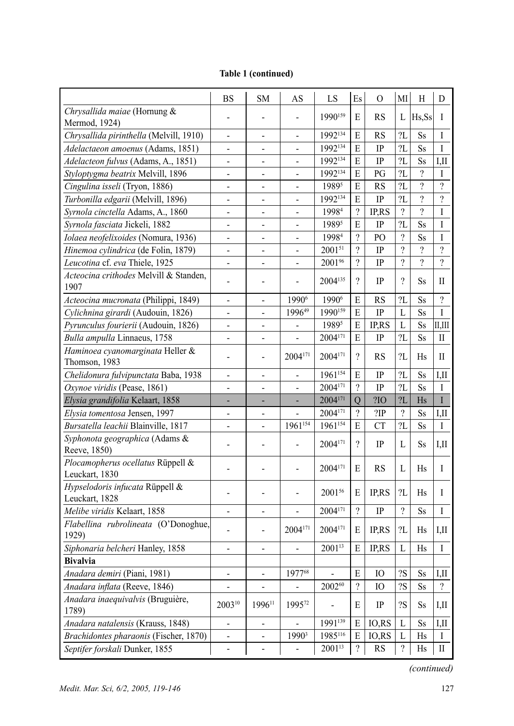|                                                   | <b>BS</b>                    | <b>SM</b>                | AS                           | LS                  | Es                       | 0           | MI             | Н         | D                               |
|---------------------------------------------------|------------------------------|--------------------------|------------------------------|---------------------|--------------------------|-------------|----------------|-----------|---------------------------------|
| Chrysallida maiae (Hornung &<br>Mermod, 1924)     |                              |                          | $\overline{a}$               | 1990159             | E                        | <b>RS</b>   | L              | Hs,Ss     | I                               |
| Chrysallida pirinthella (Melvill, 1910)           | $\overline{\phantom{a}}$     | $\overline{\phantom{0}}$ | $\overline{a}$               | 1992134             | E                        | RS          | 2L             | Ss        | I                               |
| Adelactaeon amoenus (Adams, 1851)                 | $\overline{\phantom{0}}$     |                          | $\qquad \qquad \blacksquare$ | 1992134             | E                        | IP          | 2L             | Ss        | I                               |
| Adelacteon fulvus (Adams, A., 1851)               |                              | -                        | $\overline{\phantom{0}}$     | 1992134             | E                        | IP          | 2L             | Ss        | I.II                            |
| Styloptygma beatrix Melvill, 1896                 | -                            | -                        | $\overline{a}$               | 1992134             | E                        | PG          | 2L             | $\gamma$  | I                               |
| Cingulina isseli (Tryon, 1886)                    | $\overline{a}$               | -                        | $\qquad \qquad \blacksquare$ | 19895               | E                        | <b>RS</b>   | 2L             | $\gamma$  | $\overline{\mathcal{L}}$        |
| Turbonilla edgarii (Melvill, 1896)                | $\overline{a}$               | $\overline{\phantom{0}}$ | $\overline{a}$               | 1992134             | E                        | IP          | 2L             | $\gamma$  | $\gamma$                        |
| Syrnola cinctella Adams, A., 1860                 | $\overline{a}$               | $\overline{a}$           | $\overline{a}$               | 19984               | $\gamma$                 | IP,RS       | $\gamma$       | $\gamma$  | I                               |
| Syrnola fasciata Jickeli, 1882                    | $\overline{a}$               | -                        | $\overline{a}$               | 19895               | E                        | $_{\rm IP}$ | 2L             | Ss        | I                               |
| Iolaea neofelixoides (Nomura, 1936)               | $\overline{\phantom{0}}$     | $\overline{a}$           | $\overline{a}$               | 19984               | $\gamma$                 | PO          | $\gamma$       | Ss        | I                               |
| Hinemoa cylindrica (de Folin, 1879)               | $\overline{\phantom{0}}$     | $\overline{a}$           | $\overline{a}$               | 200151              | $\gamma$                 | IP          | $\gamma$       | ?         | $\gamma$                        |
| Leucotina cf. eva Thiele, 1925                    | $\overline{\phantom{0}}$     | $\overline{a}$           | $\overline{a}$               | 2001%               | $\gamma$                 | IP          | $\gamma$       | $\gamma$  | $\gamma$                        |
| Acteocina crithodes Melvill & Standen,            |                              |                          |                              | 2004135             | $\gamma$                 |             | $\gamma$       |           |                                 |
| 1907                                              | $\overline{a}$               | ۰                        | $\overline{a}$               |                     |                          | IP          |                | Ss        | П                               |
| Acteocina mucronata (Philippi, 1849)              | $\overline{\phantom{a}}$     | $\overline{a}$           | 19906                        | 19906               | E                        | <b>RS</b>   | 2L             | <b>Ss</b> | $\gamma$                        |
| Cylichnina girardi (Audouin, 1826)                | $\overline{a}$               | $\overline{a}$           | 199649                       | $1990^{159}$        | E                        | IP          | L              | <b>Ss</b> | I                               |
| Pyrunculus fourierii (Audouin, 1826)              | $\overline{a}$               | $\overline{a}$           | $\overline{\phantom{0}}$     | 19895               | E                        | IP,RS       | L              | <b>Ss</b> | Щ                               |
| Bulla ampulla Linnaeus, 1758                      | $\overline{\phantom{0}}$     | $\overline{a}$           |                              | 2004171             | E                        | IP          | 2L             | <b>Ss</b> | П                               |
| Haminoea cyanomarginata Heller &<br>Thomson, 1983 | $\overline{\phantom{0}}$     | $\overline{a}$           | 2004171                      | 2004171             | $\gamma$                 | RS          | ?L             | Hs        | П                               |
| Chelidonura fulvipunctata Baba, 1938              | $\qquad \qquad \blacksquare$ | $\overline{\phantom{0}}$ | $\frac{1}{2}$                | 1961154             | E                        | IP          | 2L             | Ss        | I,II                            |
| Oxynoe viridis (Pease, 1861)                      | $\qquad \qquad \blacksquare$ | $\overline{a}$           | $\frac{1}{2}$                | 2004171             | $\gamma$                 | IP          | 2L             | <b>Ss</b> | $\mathbf I$                     |
| Elysia grandifolia Kelaart, 1858                  |                              |                          | ÷,                           | 2004171             | $\overline{O}$           | ?IO         | 2L             | Hs        | $\rm I$                         |
| Elysia tomentosa Jensen, 1997                     | $\overline{a}$               |                          | $\overline{a}$               | 2004171             | $\gamma$                 | 2IP         | $\gamma$       | <b>Ss</b> | IJ                              |
| Bursatella leachii Blainville, 1817               | $\overline{a}$               | $\overline{a}$           | $1961^{154}$                 | 1961154             | E                        | <b>CT</b>   | 2L             | <b>Ss</b> | $\mathbf{I}$                    |
| Syphonota geographica (Adams &<br>Reeve, 1850)    | $\overline{\phantom{a}}$     | Ĭ.                       | $\qquad \qquad \blacksquare$ | 2004171             | $\gamma$                 | IP          | L              | Ss        | I,II                            |
| Plocamopherus ocellatus Rüppell &                 |                              |                          | $\qquad \qquad \blacksquare$ | 2004 <sup>171</sup> | E                        | RS          | L              | Hs        | I                               |
| Leuckart, 1830                                    |                              |                          |                              |                     |                          |             |                |           |                                 |
| Hypselodoris infucata Rüppell &<br>Leuckart, 1828 | $\qquad \qquad \blacksquare$ |                          | $\qquad \qquad \blacksquare$ | 200156              | E                        | IP,RS       | ?L             | Hs        | I                               |
| Melibe viridis Kelaart, 1858                      |                              | ٠                        |                              | 2004171             | $\gamma$                 | IP          | $\gamma$       | <b>Ss</b> | I                               |
| Flabellina rubrolineata (O'Donoghue,              |                              |                          |                              |                     |                          |             |                |           |                                 |
| 1929)                                             |                              |                          | 2004171                      | $2004^{171}$        | E                        | IP,RS       | ?L             | Hs        | IШ                              |
| Siphonaria belcheri Hanley, 1858                  |                              | $\overline{a}$           | $\overline{\phantom{a}}$     | 200113              | E                        | IP,RS       | L              | Hs        | I                               |
| <b>Bivalvia</b>                                   |                              |                          |                              |                     |                          |             |                |           |                                 |
| Anadara demiri (Piani, 1981)                      | -                            |                          | 197768                       | $\overline{a}$      | E                        | IO          | 2S             | Ss        | I,II                            |
| Anadara inflata (Reeve, 1846)                     |                              |                          |                              | 200260              | $\gamma$                 | IO          | ?S             | Ss        | $\gamma$                        |
| Anadara inaequivalvis (Bruguière,<br>1789)        | 200310                       | 199611                   | 199572                       |                     | E                        | IP          | 2S             | Ss        | I,II                            |
| Anadara natalensis (Krauss, 1848)                 | $\qquad \qquad \blacksquare$ | $\qquad \qquad -$        | $\frac{1}{2}$                | 1991139             | E                        | IO,RS       | L              | Ss        | I,II                            |
| Brachidontes pharaonis (Fischer, 1870)            | $\overline{\phantom{a}}$     | -                        | 1990 <sup>3</sup>            | 1985116             | E                        | IO,RS       | L              | Hs        | I                               |
| Septifer forskali Dunker, 1855                    | $\overline{\phantom{a}}$     | $\qquad \qquad -$        | $\qquad \qquad -$            | $2001^{13}$         | $\overline{\mathcal{L}}$ | RS          | $\overline{?}$ | Hs        | $\mathop{\mathrm{II}}\nolimits$ |
|                                                   |                              |                          |                              |                     |                          |             |                |           |                                 |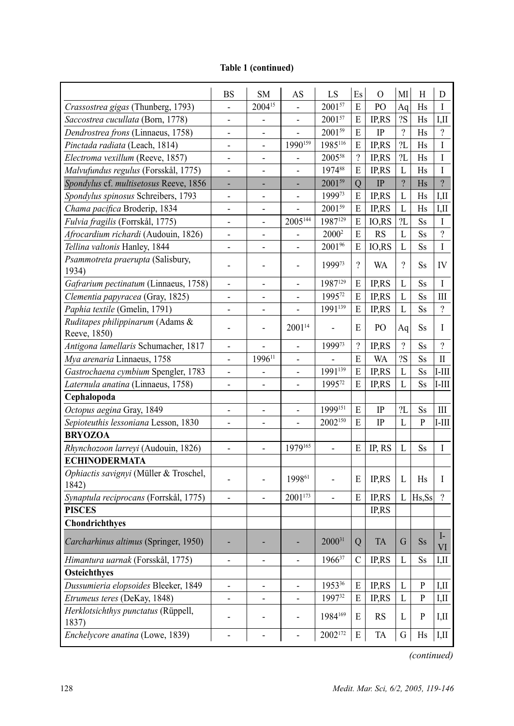| 2004 <sup>15</sup><br>200157<br>${\bf E}$<br>PO<br>Crassostrea gigas (Thunberg, 1793)<br>Aq<br>Hs<br>I<br>?S<br>200157<br>E<br>IP,RS<br>Saccostrea cucullata (Born, 1778)<br>Hs<br>$\qquad \qquad \blacksquare$<br>$\overline{\mathcal{L}}$<br>$2001^{59}$<br>$\overline{?}$<br>E<br>$\rm IP$<br>Dendrostrea frons (Linnaeus, 1758)<br>Hs<br>1990159<br>1985116<br>2L<br>Pinctada radiata (Leach, 1814)<br>E<br>$\mathbf I$<br>IP,RS<br>Hs<br>$\overline{?}$<br>2L<br>200558<br>Electroma vexillum (Reeve, 1857)<br>IP,RS<br>I<br>Hs<br>$\overline{a}$<br>$\overline{\phantom{a}}$<br>${\bf E}$<br>Malvufundus regulus (Forsskål, 1775)<br>197488<br>IP,RS<br>$\mathbf{L}$<br>$\mathbf I$<br>Hs<br>$\overline{a}$<br>$\overline{a}$<br>÷, |                                        | <b>BS</b> | <b>SM</b> | AS | LS     | Es             | $\mathbf{O}$ | MI             | Н | D              |
|-------------------------------------------------------------------------------------------------------------------------------------------------------------------------------------------------------------------------------------------------------------------------------------------------------------------------------------------------------------------------------------------------------------------------------------------------------------------------------------------------------------------------------------------------------------------------------------------------------------------------------------------------------------------------------------------------------------------------------------------|----------------------------------------|-----------|-----------|----|--------|----------------|--------------|----------------|---|----------------|
|                                                                                                                                                                                                                                                                                                                                                                                                                                                                                                                                                                                                                                                                                                                                           |                                        |           |           |    |        |                |              |                |   |                |
|                                                                                                                                                                                                                                                                                                                                                                                                                                                                                                                                                                                                                                                                                                                                           |                                        |           |           |    |        |                |              |                |   | IЛ             |
|                                                                                                                                                                                                                                                                                                                                                                                                                                                                                                                                                                                                                                                                                                                                           |                                        |           |           |    |        |                |              |                |   |                |
|                                                                                                                                                                                                                                                                                                                                                                                                                                                                                                                                                                                                                                                                                                                                           |                                        |           |           |    |        |                |              |                |   |                |
|                                                                                                                                                                                                                                                                                                                                                                                                                                                                                                                                                                                                                                                                                                                                           |                                        |           |           |    |        |                |              |                |   |                |
|                                                                                                                                                                                                                                                                                                                                                                                                                                                                                                                                                                                                                                                                                                                                           |                                        |           |           |    |        |                |              |                |   |                |
| Hs                                                                                                                                                                                                                                                                                                                                                                                                                                                                                                                                                                                                                                                                                                                                        | Spondylus cf. multisetosus Reeve, 1856 |           |           |    | 200159 | $\overline{Q}$ | $\rm IP$     | $\overline{?}$ |   | $\overline{?}$ |
| Spondylus spinosus Schreibers, 1793<br>199973<br>${\bf E}$<br>IP,RS<br>L<br>Hs<br>$\overline{a}$<br>$\qquad \qquad \blacksquare$<br>-                                                                                                                                                                                                                                                                                                                                                                                                                                                                                                                                                                                                     |                                        |           |           |    |        |                |              |                |   | IЛ             |
| 200159<br>${\bf E}$<br>L<br>Chama pacifica Broderip, 1834<br>IP,RS<br>Hs<br>-                                                                                                                                                                                                                                                                                                                                                                                                                                                                                                                                                                                                                                                             |                                        |           |           |    |        |                |              |                |   | I,II           |
| $2005^{144}$<br>1987129<br>Fulvia fragilis (Forrskål, 1775)<br>E<br>2L<br>$\mathbf I$<br>IO,RS<br><b>Ss</b><br>$\overline{a}$<br>$\overline{a}$                                                                                                                                                                                                                                                                                                                                                                                                                                                                                                                                                                                           |                                        |           |           |    |        |                |              |                |   |                |
| $\overline{\mathcal{L}}$<br>Afrocardium richardi (Audouin, 1826)<br>E<br>RS<br>L<br>2000 <sup>2</sup><br><b>Ss</b><br>$\blacksquare$<br>$\overline{\phantom{a}}$<br>$\overline{\phantom{0}}$                                                                                                                                                                                                                                                                                                                                                                                                                                                                                                                                              |                                        |           |           |    |        |                |              |                |   |                |
| 2001%<br>Tellina valtonis Hanley, 1844<br>E<br>IO,RS<br>L<br><b>Ss</b><br>I<br>$\overline{\phantom{0}}$<br>$\qquad \qquad \blacksquare$<br>$\qquad \qquad \blacksquare$                                                                                                                                                                                                                                                                                                                                                                                                                                                                                                                                                                   |                                        |           |           |    |        |                |              |                |   |                |
| Psammotreta praerupta (Salisbury,<br>$\gamma$<br>$\overline{\mathcal{L}}$<br>199973                                                                                                                                                                                                                                                                                                                                                                                                                                                                                                                                                                                                                                                       |                                        |           |           |    |        |                |              |                |   |                |
| WA<br>IV<br>Ss<br>$\qquad \qquad \blacksquare$<br>$\overline{\phantom{a}}$<br>٠<br>1934)                                                                                                                                                                                                                                                                                                                                                                                                                                                                                                                                                                                                                                                  |                                        |           |           |    |        |                |              |                |   |                |
| 1987129<br>Gafrarium pectinatum (Linnaeus, 1758)<br>E<br><b>IPRS</b><br>L<br>Ss<br>Ι<br>$\overline{\phantom{a}}$<br>$\overline{\phantom{a}}$<br>$\overline{\phantom{a}}$                                                                                                                                                                                                                                                                                                                                                                                                                                                                                                                                                                  |                                        |           |           |    |        |                |              |                |   |                |
| 199572<br>IP,RS<br>Clementia papyracea (Gray, 1825)<br>E<br>L<br>Ss<br>$\overline{\phantom{a}}$<br>$\overline{\phantom{a}}$<br>$\overline{\phantom{m}}$                                                                                                                                                                                                                                                                                                                                                                                                                                                                                                                                                                                   |                                        |           |           |    |        |                |              |                |   | Ш              |
| Paphia textile (Gmelin, 1791)<br>1991139<br>$\overline{\mathcal{L}}$<br>E<br>IP,RS<br>L<br>Ss<br>$\qquad \qquad \blacksquare$<br>$\overline{\phantom{a}}$<br>$\overline{\phantom{m}}$                                                                                                                                                                                                                                                                                                                                                                                                                                                                                                                                                     |                                        |           |           |    |        |                |              |                |   |                |
| Ruditapes philippinarum (Adams &<br>2001 <sup>14</sup><br>PO                                                                                                                                                                                                                                                                                                                                                                                                                                                                                                                                                                                                                                                                              |                                        |           |           |    |        |                |              |                |   |                |
| Е<br>Ss<br>Ι<br>Aq<br>-<br>Reeve, 1850)                                                                                                                                                                                                                                                                                                                                                                                                                                                                                                                                                                                                                                                                                                   |                                        |           |           |    |        |                |              |                |   |                |
| $\overline{\mathcal{L}}$<br>Antigona lamellaris Schumacher, 1817<br>199973<br>$\gamma$<br>$\gamma$<br>IP,RS<br>Ss<br>$\overline{a}$<br>$\overline{a}$                                                                                                                                                                                                                                                                                                                                                                                                                                                                                                                                                                                     |                                        |           |           |    |        |                |              |                |   |                |
| 199611<br>?S<br>Mya arenaria Linnaeus, 1758<br>E<br><b>WA</b><br>Ss<br>П<br>$\overline{a}$<br>÷,                                                                                                                                                                                                                                                                                                                                                                                                                                                                                                                                                                                                                                          |                                        |           |           |    |        |                |              |                |   |                |
| $1991^{139}$<br>Gastrochaena cymbium Spengler, 1783<br>E<br>IP,RS<br>Ss<br>L<br>$\overline{a}$<br>÷,<br>$\overline{\phantom{m}}$                                                                                                                                                                                                                                                                                                                                                                                                                                                                                                                                                                                                          |                                        |           |           |    |        |                |              |                |   | $I-III$        |
| Laternula anatina (Linnaeus, 1758)<br>199572<br>E<br>IP,RS<br>Ss<br>L<br>$\overline{a}$<br>÷,<br>÷,                                                                                                                                                                                                                                                                                                                                                                                                                                                                                                                                                                                                                                       |                                        |           |           |    |        |                |              |                |   | $I-III$        |
| Cephalopoda                                                                                                                                                                                                                                                                                                                                                                                                                                                                                                                                                                                                                                                                                                                               |                                        |           |           |    |        |                |              |                |   |                |
| 1999151<br>2L<br>Octopus aegina Gray, 1849<br>E<br>IP<br>Ss<br>Ш<br>$\overline{\phantom{0}}$<br>$\overline{\phantom{a}}$<br>$\overline{a}$                                                                                                                                                                                                                                                                                                                                                                                                                                                                                                                                                                                                |                                        |           |           |    |        |                |              |                |   |                |
| Sepioteuthis lessoniana Lesson, 1830<br>2002150<br>E<br>IP<br>$\mathbf{L}$<br>P<br>$\overline{a}$<br>$\overline{\phantom{a}}$                                                                                                                                                                                                                                                                                                                                                                                                                                                                                                                                                                                                             |                                        |           |           |    |        |                |              |                |   | $I-III$        |
| <b>BRYOZOA</b>                                                                                                                                                                                                                                                                                                                                                                                                                                                                                                                                                                                                                                                                                                                            |                                        |           |           |    |        |                |              |                |   |                |
| Rhynchozoon larreyi (Audouin, 1826)<br>1979165<br>E<br>IP, RS<br>L<br>I<br>Ss<br>$\frac{1}{2}$<br>$\overline{a}$                                                                                                                                                                                                                                                                                                                                                                                                                                                                                                                                                                                                                          |                                        |           |           |    |        |                |              |                |   |                |
| <b>ECHINODERMATA</b>                                                                                                                                                                                                                                                                                                                                                                                                                                                                                                                                                                                                                                                                                                                      |                                        |           |           |    |        |                |              |                |   |                |
| Ophiactis savignyi (Müller & Troschel,<br>199861<br>E<br>IP,RS<br>L<br>Hs<br>I<br>1842)                                                                                                                                                                                                                                                                                                                                                                                                                                                                                                                                                                                                                                                   |                                        |           |           |    |        |                |              |                |   |                |
| 2001173<br>$\gamma$<br>Synaptula reciprocans (Forrskål, 1775)<br>E<br>IP,RS<br>L<br>Hs,Ss                                                                                                                                                                                                                                                                                                                                                                                                                                                                                                                                                                                                                                                 |                                        |           |           |    |        |                |              |                |   |                |
| <b>PISCES</b><br><b>IPRS</b>                                                                                                                                                                                                                                                                                                                                                                                                                                                                                                                                                                                                                                                                                                              |                                        |           |           |    |        |                |              |                |   |                |
| Chondrichthyes                                                                                                                                                                                                                                                                                                                                                                                                                                                                                                                                                                                                                                                                                                                            |                                        |           |           |    |        |                |              |                |   |                |
| $\mathbf{I}$<br>200031<br>Carcharhinus altimus (Springer, 1950)<br>Q<br><b>TA</b><br>G<br>$S_{S}$                                                                                                                                                                                                                                                                                                                                                                                                                                                                                                                                                                                                                                         |                                        |           |           |    |        |                |              |                |   | VI             |
| IP,RS<br>196637<br>$\mathbf C$<br>$\mathbf L$<br>Ss<br>Himantura uarnak (Forsskål, 1775)                                                                                                                                                                                                                                                                                                                                                                                                                                                                                                                                                                                                                                                  |                                        |           |           |    |        |                |              |                |   | I,II           |
| Osteichthyes                                                                                                                                                                                                                                                                                                                                                                                                                                                                                                                                                                                                                                                                                                                              |                                        |           |           |    |        |                |              |                |   |                |
| Dussumieria elopsoides Bleeker, 1849<br>195336<br>IP,RS<br>P<br>Е<br>L<br>$\overline{\phantom{0}}$<br>$\blacksquare$<br>$\overline{\phantom{a}}$                                                                                                                                                                                                                                                                                                                                                                                                                                                                                                                                                                                          |                                        |           |           |    |        |                |              |                |   | I,II           |
| 199732<br>Etrumeus teres (DeKay, 1848)<br>IP,RS<br>${\bf P}$<br>E<br>L<br>$\overline{\phantom{0}}$<br>$\overline{\phantom{a}}$<br>$\overline{\phantom{a}}$                                                                                                                                                                                                                                                                                                                                                                                                                                                                                                                                                                                |                                        |           |           |    |        |                |              |                |   | I,II           |
| Herklotsichthys punctatus (Rüppell,<br>1984169<br>E<br><b>RS</b><br>L<br>P<br>$\qquad \qquad \blacksquare$<br>$\overline{\phantom{0}}$                                                                                                                                                                                                                                                                                                                                                                                                                                                                                                                                                                                                    |                                        |           |           |    |        |                |              |                |   | I,II           |
| 1837)<br>Enchelycore anatina (Lowe, 1839)<br>2002172<br>Ε<br>TA<br>G<br>$\overline{a}$<br>Hs<br>$\overline{\phantom{a}}$<br>$\qquad \qquad \blacksquare$                                                                                                                                                                                                                                                                                                                                                                                                                                                                                                                                                                                  |                                        |           |           |    |        |                |              |                |   | I,II           |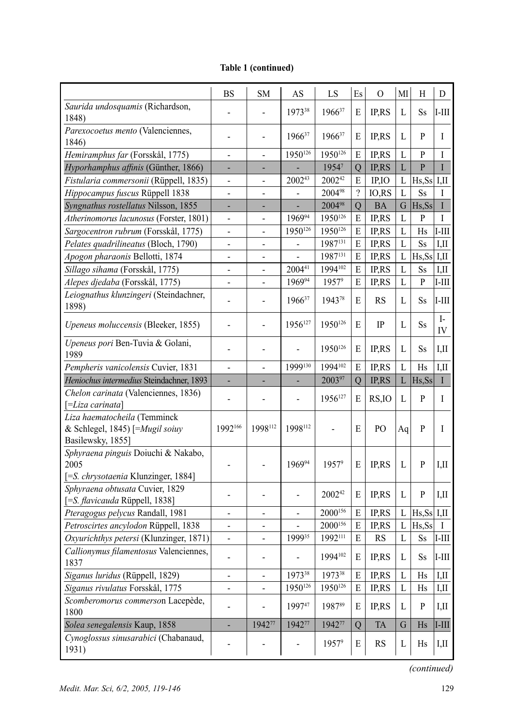|                                                                 | <b>BS</b>                    | <b>SM</b>      | AS                       | LS      | Es             | $\Omega$     | MI | H             | D                  |
|-----------------------------------------------------------------|------------------------------|----------------|--------------------------|---------|----------------|--------------|----|---------------|--------------------|
| Saurida undosquamis (Richardson,<br>1848)                       |                              |                | 197338                   | 196637  | E              | IP,RS        | L  | Ss            | $I-III$            |
| Parexocoetus mento (Valenciennes,<br>1846)                      |                              |                | $1966^{37}$              | 196637  | Е              | IP,RS        | L  | P             | I                  |
| Hemiramphus far (Forsskål, 1775)                                | $\overline{a}$               | L,             | $1950^{126}$             | 1950126 | E              | IP,RS        | L  | P             | I                  |
| Hyporhamphus affinis (Günther, 1866)                            |                              |                |                          | 19547   | Q              | IP,RS        | L  | $\mathbf{P}$  | I                  |
| Fistularia commersonii (Rüppell, 1835)                          | -                            |                | 200243                   | 200242  | E              | IP,IO        | L  | Hs, Ss        | I,II               |
| Hippocampus fuscus Rüppell 1838                                 | $\overline{\phantom{a}}$     |                |                          | 200498  | $\gamma$       | IO, RS       | L  | Ss            | T                  |
| Syngnathus rostellatus Nilsson, 1855                            |                              |                |                          | 200498  | Q              | <b>BA</b>    | G  | Hs, Ss        | I                  |
| Atherinomorus lacunosus (Forster, 1801)                         | $\qquad \qquad \blacksquare$ |                | 196994                   | 1950126 | E              | IP,RS        | L  | P             | I                  |
| Sargocentron rubrum (Forsskål, 1775)                            | $\overline{\phantom{0}}$     |                | 1950126                  | 1950126 | E              | IP,RS        | L  | Hs            | $I-III$            |
| Pelates quadrilineatus (Bloch, 1790)                            | $\overline{\phantom{0}}$     | $\overline{a}$ | -                        | 1987131 | E              | IP,RS        | L  | Ss            | I,II               |
| Apogon pharaonis Bellotti, 1874                                 | $\overline{a}$               |                |                          | 1987131 | E              | IP,RS        | L  | $Hs, Ss$ I,II |                    |
| Sillago sihama (Forsskål, 1775)                                 | $\qquad \qquad \blacksquare$ |                | 200441                   | 1994102 | E              | IP,RS        | L  | Ss            | I,II               |
| Alepes djedaba (Forsskål, 1775)                                 | $\qquad \qquad \blacksquare$ |                | 196994                   | 19579   | E              | IP,RS        | L  | P             | $I-III$            |
| Leiognathus klunzingeri (Steindachner,<br>1898)                 | $\overline{\phantom{a}}$     | ÷              | 196637                   | 194378  | E              | RS           | L  | Ss            | $I-III$            |
| Upeneus moluccensis (Bleeker, 1855)                             |                              |                | 1956127                  | 1950126 | Е              | IP           | L  | Ss            | $\mathbf{I}$<br>IV |
| Upeneus pori Ben-Tuvia & Golani,<br>1989                        |                              |                | ÷,                       | 1950126 | Е              | IP,RS        | L  | Ss            | I,II               |
| Pempheris vanicolensis Cuvier, 1831                             | $\overline{\phantom{a}}$     | -              | 1999130                  | 1994102 | E              | IP,RS        | L  | Hs            | I,II               |
|                                                                 |                              |                |                          |         |                |              |    |               |                    |
| Heniochus intermedius Steindachner, 1893                        | ٠                            |                |                          | 200397  | $\mathbf Q$    | IP,RS        | L  | Hs, Ss        | $\mathbf{I}$       |
| Chelon carinata (Valenciennes, 1836)                            |                              |                |                          |         |                |              |    |               |                    |
| $[=Liza \, carinata]$                                           |                              |                | $\overline{\phantom{0}}$ | 1956127 | E              | RS, IO       | L  | P             | I                  |
| Liza haematocheila (Temminck<br>& Schlegel, 1845) [=Mugil soiuy | 1992166                      | 1998112        | 1998112                  |         | Е              | PO           | Aq | P             | Ι                  |
| Basilewsky, 1855]                                               |                              |                |                          |         |                |              |    |               |                    |
| Sphyraena pinguis Doiuchi & Nakabo,<br>2005                     |                              |                | 196994                   | 19579   | E              | IP,RS        | L  | P             | I,II               |
| [=S. chrysotaenia Klunzinger, 1884]                             |                              |                |                          |         |                |              |    |               |                    |
| Sphyraena obtusata Cuvier, 1829                                 |                              |                |                          | 200242  | Е              | IP,RS        | L  | P             | IJЛ                |
| [=S. flavicauda Rüppell, 1838]                                  |                              |                |                          |         |                |              |    |               |                    |
| Pteragogus pelycus Randall, 1981                                | $\overline{\phantom{a}}$     | L,             | $\overline{a}$           | 2000156 | E              | IP,RS        | L  | $Hs, Ss$ I,II |                    |
| Petroscirtes ancylodon Rüppell, 1838                            | $\overline{\phantom{a}}$     | L,             |                          | 2000156 | E              | IP,RS        | L  | Hs,Ss         | Ι                  |
| Oxyurichthys petersi (Klunzinger, 1871)                         | $\qquad \qquad \blacksquare$ | $\overline{a}$ | 199935                   | 1992111 | E              | <b>RS</b>    | L  | Ss            | $I-III$            |
| Callionymus filamentosus Valenciennes,<br>1837                  | $\overline{\phantom{0}}$     |                |                          | 1994102 | E              | <b>IP.RS</b> | L  | Ss            | $I-III$            |
| Siganus luridus (Rüppell, 1829)                                 | $\overline{\phantom{a}}$     |                | 197338                   | 197338  | E              | IP,RS        | L  | Hs            | I,II               |
| Siganus rivulatus Forsskål, 1775                                |                              |                | 1950126                  | 1950126 | E              | IP,RS        | L  | Hs            | I,II               |
| Scomberomorus commerson Lacepède,<br>1800                       | $\overline{\phantom{0}}$     |                | 199747                   | 198789  | E              | IP,RS        | L  | P             | I,II               |
| Solea senegalensis Kaup, 1858                                   | ÷,                           | 194277         | 194277                   | 194277  | $\overline{Q}$ | <b>TA</b>    | G  | Hs            | $I-III$            |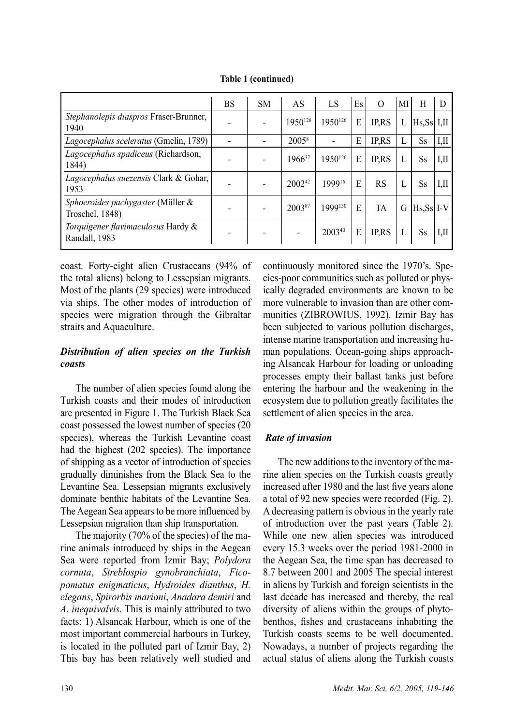|                                                      | BS | <b>SM</b> | AS                | LS      | Es | $\Omega$    | MI | H             | D    |
|------------------------------------------------------|----|-----------|-------------------|---------|----|-------------|----|---------------|------|
| Stephanolepis diaspros Fraser-Brunner,<br>1940       |    |           | 1950126           | 1950126 | E  | <b>IPRS</b> | L  | Hs.Ss  I.II   |      |
| Lagocephalus sceleratus (Gmelin, 1789)               |    |           | 2005 <sup>8</sup> |         | E  | <b>IPRS</b> | L  | Ss            | I.II |
| Lagocephalus spadiceus (Richardson,<br>1844)         |    |           | 196637            | 1950126 | E  | <b>IPRS</b> | L  | Ss            | IШ   |
| Lagocephalus suezensis Clark & Gohar,<br>1953        |    |           | $2002^{42}$       | 199916  | E  | <b>RS</b>   | L  | Ss            | I,II |
| Sphoeroides pachygaster (Müller &<br>Troschel, 1848) |    |           | 200387            | 1999130 | E  | TA          | G  | $ Hs.Ss  I-V$ |      |
| Torquigener flavimaculosus Hardy &<br>Randall, 1983  |    |           |                   | 200340  | E  | <b>IPRS</b> | L  | Ss            | IШ   |

**Table 1 (continued)**

coast. Forty-eight alien Crustaceans (94% of the total aliens) belong to Lessepsian migrants. Most of the plants (29 species) were introduced via ships. The other modes of introduction of species were migration through the Gibraltar straits and Aquaculture.

## *Distribution of alien species on the Turkish coasts*

The number of alien species found along the Turkish coasts and their modes of introduction are presented in Figure 1. The Turkish Black Sea coast possessed the lowest number of species (20 species), whereas the Turkish Levantine coast had the highest (202 species). The importance of shipping as a vector of introduction of species gradually diminishes from the Black Sea to the Levantine Sea. Lessepsian migrants exclusively dominate benthic habitats of the Levantine Sea. The Aegean Sea appears to be more influenced by Lessepsian migration than ship transportation.

The majority (70% of the species) of the marine animals introduced by ships in the Aegean Sea were reported from Izmir Bay; *Polydora cornuta*, *Streblospio gynobranchiata*, *Ficopomatus enigmaticus*, *Hydroides dianthus*, *H. elegans*, *Spirorbis marioni*, *Anadara demiri* and *A. inequivalvis*. This is mainly attributed to two facts; 1) Alsancak Harbour, which is one of the most important commercial harbours in Turkey, is located in the polluted part of Izmir Bay, 2) This bay has been relatively well studied and continuously monitored since the 1970's. Species-poor communities such as polluted or physically degraded environments are known to be more vulnerable to invasion than are other communities (ZIBROWIUS, 1992). Izmir Bay has been subjected to various pollution discharges, intense marine transportation and increasing human populations. Ocean-going ships approaching Alsancak Harbour for loading or unloading processes empty their ballast tanks just before entering the harbour and the weakening in the ecosystem due to pollution greatly facilitates the settlement of alien species in the area.

# *Rate of invasion*

The new additions to the inventory of the marine alien species on the Turkish coasts greatly increased after 1980 and the last five years alone a total of 92 new species were recorded (Fig. 2). A decreasing pattern is obvious in the yearly rate of introduction over the past years (Table 2). While one new alien species was introduced every 15.3 weeks over the period 1981-2000 in the Aegean Sea, the time span has decreased to 8.7 between 2001 and 2005 The special interest in aliens by Turkish and foreign scientists in the last decade has increased and thereby, the real diversity of aliens within the groups of phytobenthos, fishes and crustaceans inhabiting the Turkish coasts seems to be well documented. Nowadays, a number of projects regarding the actual status of aliens along the Turkish coasts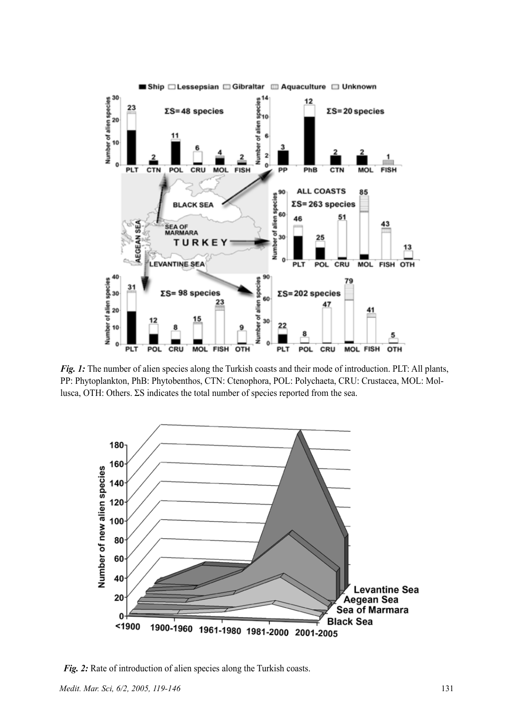

*Fig. 1:* The number of alien species along the Turkish coasts and their mode of introduction. PLT: All plants, PP: Phytoplankton, PhB: Phytobenthos, CTN: Ctenophora, POL: Polychaeta, CRU: Crustacea, MOL: Mollusca, OTH: Others. ΣS indicates the total number of species reported from the sea.



*Fig. 2:* Rate of introduction of alien species along the Turkish coasts.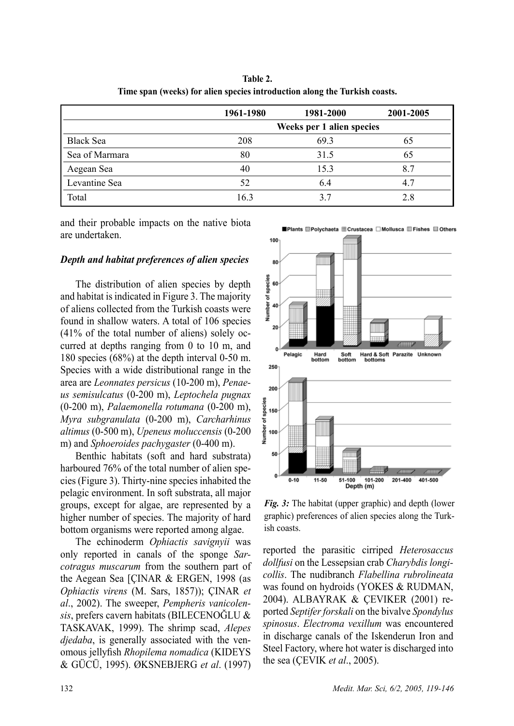**Table 2. Time span (weeks) for alien species introduction along the Turkish coasts.**

|                  | 1961-1980                 | 1981-2000 | 2001-2005 |
|------------------|---------------------------|-----------|-----------|
|                  | Weeks per 1 alien species |           |           |
| <b>Black Sea</b> | 208                       | 69.3      | 65        |
| Sea of Marmara   | 80                        | 31.5      | 65        |
| Aegean Sea       | 40                        | 15.3      | 8.7       |
| Levantine Sea    | 52                        | 6.4       | 4.7       |
| Total            | 16.3                      | 3.7       | 2.8       |

and their probable impacts on the native biota are undertaken.

#### *Depth and habitat preferences of alien species*

The distribution of alien species by depth and habitat is indicated in Figure 3. The majority of aliens collected from the Turkish coasts were found in shallow waters. A total of 106 species (41% of the total number of aliens) solely occurred at depths ranging from 0 to 10 m, and 180 species (68%) at the depth interval 0-50 m. Species with a wide distributional range in the area are *Leonnates persicus* (10-200 m), *Penaeus semisulcatus* (0-200 m), *Leptochela pugnax* (0-200 m), *Palaemonella rotumana* (0-200 m), *Myra subgranulata* (0-200 m), *Carcharhinus altimus* (0-500 m), *Upeneus moluccensis* (0-200 m) and *Sphoeroides pachygaster* (0-400 m).

Benthic habitats (soft and hard substrata) harboured 76% of the total number of alien species (Figure 3). Thirty-nine species inhabited the pelagic environment. In soft substrata, all major groups, except for algae, are represented by a higher number of species. The majority of hard bottom organisms were reported among algae.

The echinoderm *Ophiactis savignyii* was only reported in canals of the sponge *Sarcotragus muscarum* from the southern part of the Aegean Sea [ÇINAR & ERGEN, 1998 (as *Ophiactis virens* (M. Sars, 1857)); ÇINAR *et al*., 2002). The sweeper, *Pempheris vanicolensis*, prefers cavern habitats (BILECENOĞLU & TASKAVAK, 1999). The shrimp scad, *Alepes djedaba*, is generally associated with the venomous jellyfish *Rhopilema nomadica* (KIDEYS & GÜCÜ, 1995). ØKSNEBJERG *et al*. (1997)



*Fig. 3:* The habitat (upper graphic) and depth (lower graphic) preferences of alien species along the Turkish coasts.

reported the parasitic cirriped *Heterosaccus dollfusi* on the Lessepsian crab *Charybdis longicollis*. The nudibranch *Flabellina rubrolineata* was found on hydroids (YOKES & RUDMAN, 2004). ALBAYRAK & ÇEVIKER (2001) reported *Septifer forskali* on the bivalve *Spondylus spinosus*. *Electroma vexillum* was encountered in discharge canals of the Iskenderun Iron and Steel Factory, where hot water is discharged into the sea (ÇEVIK *et al*., 2005).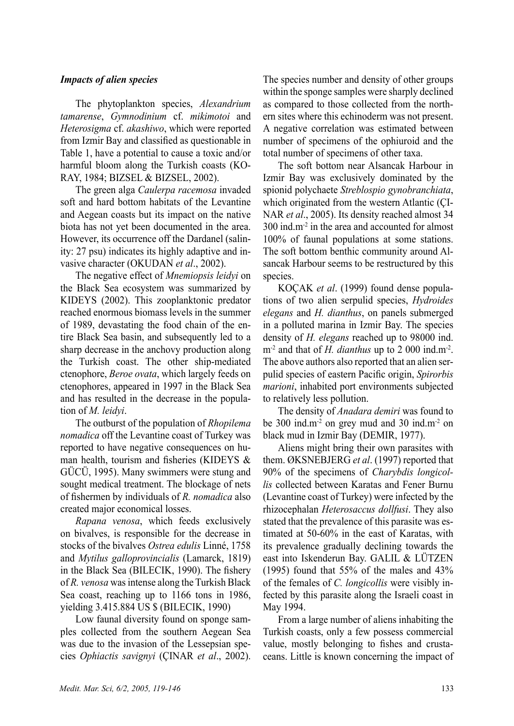#### *Impacts of alien species*

The phytoplankton species, *Alexandrium tamarense*, *Gymnodinium* cf. *mikimotoi* and *Heterosigma* cf. *akashiwo*, which were reported from Izmir Bay and classified as questionable in Table 1, have a potential to cause a toxic and/or harmful bloom along the Turkish coasts (KO-RAY, 1984; BIZSEL & BIZSEL, 2002).

The green alga *Caulerpa racemosa* invaded soft and hard bottom habitats of the Levantine and Aegean coasts but its impact on the native biota has not yet been documented in the area. However, its occurrence off the Dardanel (salinity: 27 psu) indicates its highly adaptive and invasive character (OKUDAN *et al*., 2002).

The negative effect of *Mnemiopsis leidyi* on the Black Sea ecosystem was summarized by KIDEYS (2002). This zooplanktonic predator reached enormous biomass levels in the summer of 1989, devastating the food chain of the entire Black Sea basin, and subsequently led to a sharp decrease in the anchovy production along the Turkish coast. The other ship-mediated ctenophore, *Beroe ovata*, which largely feeds on ctenophores, appeared in 1997 in the Black Sea and has resulted in the decrease in the population of *M. leidyi*.

The outburst of the population of *Rhopilema nomadica* off the Levantine coast of Turkey was reported to have negative consequences on human health, tourism and fisheries (KIDEYS & GÜCÜ, 1995). Many swimmers were stung and sought medical treatment. The blockage of nets of fishermen by individuals of *R. nomadica* also created major economical losses.

*Rapana venosa*, which feeds exclusively on bivalves, is responsible for the decrease in stocks of the bivalves *Ostrea edulis* Linné, 1758 and *Mytilus galloprovincialis* (Lamarck, 1819) in the Black Sea (BILECIK, 1990). The fishery of *R. venosa* was intense along the Turkish Black Sea coast, reaching up to 1166 tons in 1986, yielding 3.415.884 US \$ (BILECIK, 1990)

Low faunal diversity found on sponge samples collected from the southern Aegean Sea was due to the invasion of the Lessepsian species *Ophiactis savignyi* (ÇINAR *et al*., 2002). The species number and density of other groups within the sponge samples were sharply declined as compared to those collected from the northern sites where this echinoderm was not present. A negative correlation was estimated between number of specimens of the ophiuroid and the total number of specimens of other taxa.

The soft bottom near Alsancak Harbour in Izmir Bay was exclusively dominated by the spionid polychaete *Streblospio gynobranchiata*, which originated from the western Atlantic (ÇI-NAR *et al*., 2005). Its density reached almost 34 300 ind.m-2 in the area and accounted for almost 100% of faunal populations at some stations. The soft bottom benthic community around Alsancak Harbour seems to be restructured by this species.

KOÇAK *et al*. (1999) found dense populations of two alien serpulid species, *Hydroides elegans* and *H. dianthus*, on panels submerged in a polluted marina in Izmir Bay. The species density of *H. elegans* reached up to 98000 ind. m<sup>-2</sup> and that of *H. dianthus* up to 2 000 ind.m<sup>-2</sup>. The above authors also reported that an alien serpulid species of eastern Pacific origin, *Spirorbis marioni*, inhabited port environments subjected to relatively less pollution.

The density of *Anadara demiri* was found to be 300 ind.m<sup>-2</sup> on grey mud and 30 ind.m<sup>-2</sup> on black mud in Izmir Bay (DEMIR, 1977).

Aliens might bring their own parasites with them. ØKSNEBJERG *et al*. (1997) reported that 90% of the specimens of *Charybdis longicollis* collected between Karatas and Fener Burnu (Levantine coast of Turkey) were infected by the rhizocephalan *Heterosaccus dollfusi*. They also stated that the prevalence of this parasite was estimated at 50-60% in the east of Karatas, with its prevalence gradually declining towards the east into Iskenderun Bay. GALIL & LÜTZEN (1995) found that 55% of the males and 43% of the females of *C. longicollis* were visibly infected by this parasite along the Israeli coast in May 1994.

From a large number of aliens inhabiting the Turkish coasts, only a few possess commercial value, mostly belonging to fishes and crustaceans. Little is known concerning the impact of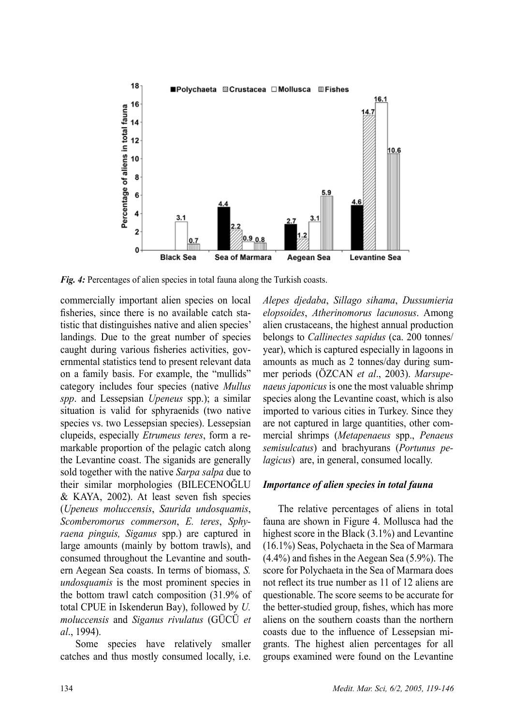

*Fig. 4:* Percentages of alien species in total fauna along the Turkish coasts.

commercially important alien species on local fisheries, since there is no available catch statistic that distinguishes native and alien species' landings. Due to the great number of species caught during various fisheries activities, governmental statistics tend to present relevant data on a family basis. For example, the "mullids" category includes four species (native *Mullus spp*. and Lessepsian *Upeneus* spp.); a similar situation is valid for sphyraenids (two native species vs. two Lessepsian species). Lessepsian clupeids, especially *Etrumeus teres*, form a remarkable proportion of the pelagic catch along the Levantine coast. The siganids are generally sold together with the native *Sarpa salpa* due to their similar morphologies (BILECENOĞLU & KAYA, 2002). At least seven fish species (*Upeneus moluccensis*, *Saurida undosquamis*, *Scomberomorus commerson*, *E. teres*, *Sphyraena pinguis, Siganus* spp.) are captured in large amounts (mainly by bottom trawls), and consumed throughout the Levantine and southern Aegean Sea coasts. In terms of biomass, *S. undosquamis* is the most prominent species in the bottom trawl catch composition (31.9% of total CPUE in Iskenderun Bay), followed by *U. moluccensis* and *Siganus rivulatus* (GÜCÜ *et al*., 1994).

Some species have relatively smaller catches and thus mostly consumed locally, i.e. *Alepes djedaba*, *Sillago sihama*, *Dussumieria elopsoides*, *Atherinomorus lacunosus*. Among alien crustaceans, the highest annual production belongs to *Callinectes sapidus* (ca. 200 tonnes/ year), which is captured especially in lagoons in amounts as much as 2 tonnes/day during summer periods (ÖZCAN *et al*., 2003). *Marsupenaeus japonicus* is one the most valuable shrimp species along the Levantine coast, which is also imported to various cities in Turkey. Since they are not captured in large quantities, other commercial shrimps (*Metapenaeus* spp., *Penaeus semisulcatus*) and brachyurans (*Portunus pelagicus*) are, in general, consumed locally.

### *Importance of alien species in total fauna*

The relative percentages of aliens in total fauna are shown in Figure 4. Mollusca had the highest score in the Black (3.1%) and Levantine (16.1%) Seas, Polychaeta in the Sea of Marmara (4.4%) and fishes in the Aegean Sea (5.9%). The score for Polychaeta in the Sea of Marmara does not reflect its true number as 11 of 12 aliens are questionable. The score seems to be accurate for the better-studied group, fishes, which has more aliens on the southern coasts than the northern coasts due to the influence of Lessepsian migrants. The highest alien percentages for all groups examined were found on the Levantine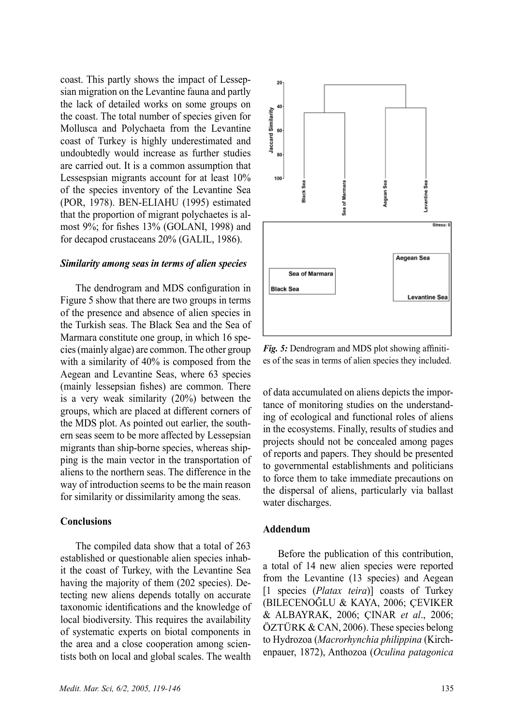coast. This partly shows the impact of Lessepsian migration on the Levantine fauna and partly the lack of detailed works on some groups on the coast. The total number of species given for Mollusca and Polychaeta from the Levantine coast of Turkey is highly underestimated and undoubtedly would increase as further studies are carried out. It is a common assumption that Lessespsian migrants account for at least 10% of the species inventory of the Levantine Sea (POR, 1978). BEN-ELIAHU (1995) estimated that the proportion of migrant polychaetes is almost 9%; for fishes 13% (GOLANI, 1998) and for decapod crustaceans 20% (GALIL, 1986).

#### *Similarity among seas in terms of alien species*

The dendrogram and MDS configuration in Figure 5 show that there are two groups in terms of the presence and absence of alien species in the Turkish seas. The Black Sea and the Sea of Marmara constitute one group, in which 16 species (mainly algae) are common. The other group with a similarity of 40% is composed from the Aegean and Levantine Seas, where 63 species (mainly lessepsian fishes) are common. There is a very weak similarity (20%) between the groups, which are placed at different corners of the MDS plot. As pointed out earlier, the southern seas seem to be more affected by Lessepsian migrants than ship-borne species, whereas shipping is the main vector in the transportation of aliens to the northern seas. The difference in the way of introduction seems to be the main reason for similarity or dissimilarity among the seas.

#### **Conclusions**

The compiled data show that a total of 263 established or questionable alien species inhabit the coast of Turkey, with the Levantine Sea having the majority of them (202 species). Detecting new aliens depends totally on accurate taxonomic identifications and the knowledge of local biodiversity. This requires the availability of systematic experts on biotal components in the area and a close cooperation among scientists both on local and global scales. The wealth



*Fig. 5:* Dendrogram and MDS plot showing affinities of the seas in terms of alien species they included.

of data accumulated on aliens depicts the importance of monitoring studies on the understanding of ecological and functional roles of aliens in the ecosystems. Finally, results of studies and projects should not be concealed among pages of reports and papers. They should be presented to governmental establishments and politicians to force them to take immediate precautions on the dispersal of aliens, particularly via ballast water discharges.

#### **Addendum**

Before the publication of this contribution, a total of 14 new alien species were reported from the Levantine (13 species) and Aegean [1 species (*Platax teira*)] coasts of Turkey (BILECENOĞLU & KAYA, 2006; ÇEVIKER & ALBAYRAK, 2006; ÇINAR *et al*., 2006; ÖZTÜRK & CAN, 2006). These species belong to Hydrozoa (*Macrorhynchia philippina* (Kirchenpauer, 1872), Anthozoa (*Oculina patagonica*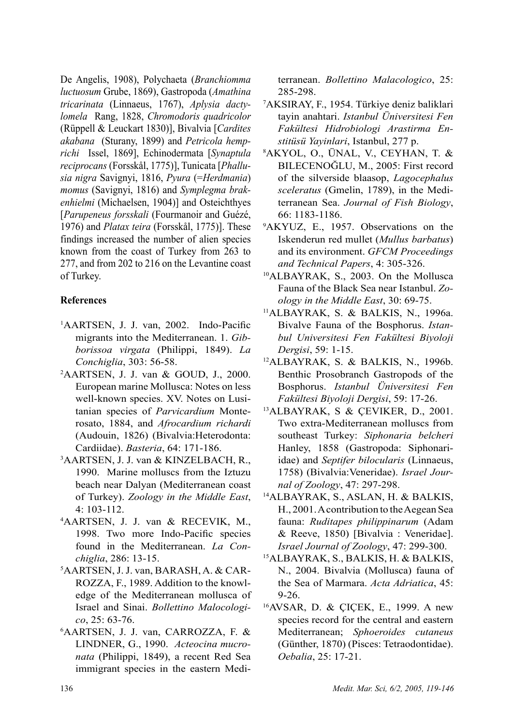De Angelis, 1908), Polychaeta (*Branchiomma luctuosum* Grube, 1869), Gastropoda (*Amathina tricarinata* (Linnaeus, 1767), *Aplysia dactylomela* Rang, 1828, *Chromodoris quadricolor*  (Rüppell & Leuckart 1830)], Bivalvia [*Cardites akabana* (Sturany, 1899) and *Petricola hemprichi* Issel, 1869], Echinodermata [*Synaptula reciprocans* (Forsskål, 1775)], Tunicata [*Phallusia nigra* Savignyi, 1816, *Pyura* (=*Herdmania*) *momus* (Savignyi, 1816) and *Symplegma brakenhielmi* (Michaelsen, 1904)] and Osteichthyes [*Parupeneus forsskali* (Fourmanoir and Guézé, 1976) and *Platax teira* (Forsskål, 1775)]. These findings increased the number of alien species known from the coast of Turkey from 263 to 277, and from 202 to 216 on the Levantine coast of Turkey.

## **References**

- 1 AARTSEN, J. J. van, 2002. Indo-Pacific migrants into the Mediterranean. 1. *Gibborissoa virgata* (Philippi, 1849). *La Conchiglia*, 303: 56-58.
- 2 AARTSEN, J. J. van & GOUD, J., 2000. European marine Mollusca: Notes on less well-known species. XV. Notes on Lusitanian species of *Parvicardium* Monterosato, 1884, and *Afrocardium richardi* (Audouin, 1826) (Bivalvia:Heterodonta: Cardiidae). *Basteria*, 64: 171-186. 3
- AARTSEN, J. J. van & KINZELBACH, R., 1990. Marine molluscs from the Iztuzu beach near Dalyan (Mediterranean coast of Turkey). *Zoology in the Middle East*,
- 4: 103-112. 4 AARTSEN, J. J. van & RECEVIK, M., 1998. Two more Indo-Pacific species found in the Mediterranean. *La Conchiglia*, 286: 13-15.
- 5 AARTSEN, J. J. van, BARASH, A. & CAR-ROZZA, F., 1989. Addition to the knowledge of the Mediterranean mollusca of Israel and Sinai. *Bollettino Malocologico*, 25: 63-76.
- 6 AARTSEN, J. J. van, CARROZZA, F. & LINDNER, G., 1990. *Acteocina mucronata* (Philippi, 1849), a recent Red Sea immigrant species in the eastern Medi-

terranean. *Bollettino Malacologico*, 25: 285-298.

- 7 AKSIRAY, F., 1954. Türkiye deniz baliklari tayin anahtari. *Istanbul Üniversitesi Fen Fakültesi Hidrobiologi Arastirma Enstitüsü Yayinlari*, Istanbul, 277 p.
- AKYOL, O., ÜNAL, V., CEYHAN, T. & BILECENOĞLU, M., 2005: First record of the silverside blaasop, *Lagocephalus sceleratus* (Gmelin, 1789), in the Mediterranean Sea. *Journal of Fish Biology*, 66: 1183-1186.
- 9 AKYUZ, E., 1957. Observations on the Iskenderun red mullet (*Mullus barbatus*) and its environment. *GFCM Proceedings and Technical Papers*, 4: 305-326.
- 10ALBAYRAK, S., 2003. On the Mollusca Fauna of the Black Sea near Istanbul. *Zoology in the Middle East*, 30: 69-75.
- 11ALBAYRAK, S. & BALKIS, N., 1996a. Bivalve Fauna of the Bosphorus. *Istanbul Universitesi Fen Fakültesi Biyoloji Dergisi*, 59: 1-15.
- 12ALBAYRAK, S. & BALKIS, N., 1996b. Benthic Prosobranch Gastropods of the Bosphorus. *Istanbul Üniversitesi Fen*
- *Fakültesi Biyoloji Dergisi*, 59: 17-26. 13ALBAYRAK, S & ÇEVIKER, D., 2001. Two extra-Mediterranean molluscs from southeast Turkey: *Siphonaria belcheri* Hanley, 1858 (Gastropoda: Siphonariidae) and *Septifer bilocularis* (Linnaeus, 1758) (Bivalvia:Veneridae). *Israel Jour-*
- *nal of Zoology*, 47: 297-298. 14ALBAYRAK, S., ASLAN, H. & BALKIS, H., 2001. A contribution to the Aegean Sea fauna: *Ruditapes philippinarum* (Adam & Reeve, 1850) [Bivalvia : Veneridae]. *Israel Journal of Zoology*, 47: 299-300.
- 15ALBAYRAK, S., BALKIS, H. & BALKIS, N., 2004. Bivalvia (Mollusca) fauna of the Sea of Marmara. *Acta Adriatica*, 45: 9-26.<br><sup>16</sup>AVSAR, D. & CICEK, E., 1999. A new
- species record for the central and eastern Mediterranean; *Sphoeroides cutaneus* (Günther, 1870) (Pisces: Tetraodontidae). *Oebalia*, 25: 17-21.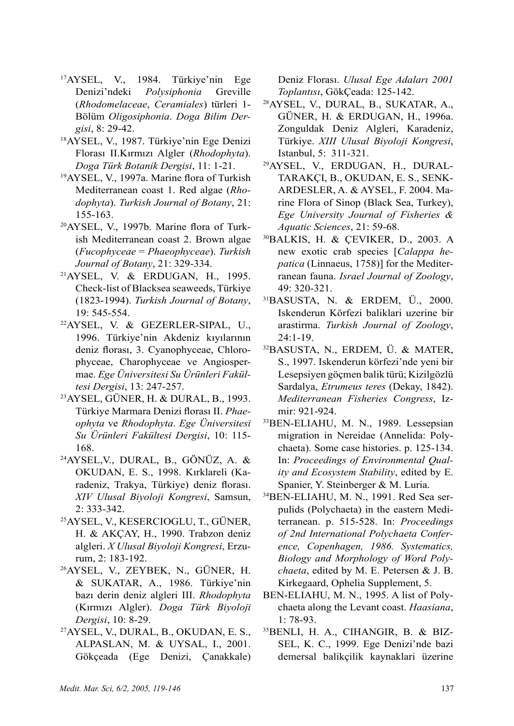- 17AYSEL, V., 1984. Türkiye'nin Ege Denizi'ndeki *Polysiphonia* Greville (*Rhodomelaceae*, *Ceramiales*) türleri 1- Bölüm *Oligosiphonia*. *Doga Bilim Dergisi*, 8: 29-42.
- 18AYSEL, V., 1987. Türkiye'nin Ege Denizi Florası II.Kırmızı Algler (*Rhodophyta*). *Doga Türk Botanik Dergisi*, 11: 1-21.
- <sup>19</sup>AYSEL, V., 1997a. Marine flora of Turkish Mediterranean coast 1. Red algae (*Rhodophyta*). *Turkish Journal of Botany*, 21: 155-163.
- 20AYSEL, V., 1997b. Marine flora of Turkish Mediterranean coast 2. Brown algae (*Fucophyceae* = *Phaeophyceae*). *Turkish Journal of Botany*, 21: 329-334.
- 21AYSEL, V. & ERDUGAN, H., 1995. Check-list of Blacksea seaweeds, Türkiye (1823-1994). *Turkish Journal of Botany*, 19: 545-554.<br><sup>22</sup>AYSEL, V. & GEZERLER-SIPAL, U.,
- 1996. Türkiye'nin Akdeniz kıyılarının deniz florası, 3. Cyanophyceae, Chlorophyceae, Charophyceae ve Angiospermae. *Ege Üniversitesi Su Ürünleri Fakültesi Dergisi*, 13: 247-257.
- 23AYSEL, GÜNER, H. & DURAL, B., 1993. Türkiye Marmara Denizi florası II. *Phaeophyta* ve *Rhodophyta*. *Ege Üniversitesi Su Ürünleri Fakültesi Dergisi*, 10: 115- 168.
- 24AYSEL,V., DURAL, B., GÖNÜZ, A. & OKUDAN, E. S., 1998. Kırklareli (Karadeniz, Trakya, Türkiye) deniz florası. *XIV Ulusal Biyoloji Kongresi*, Samsun, 2: 333-342.
- 25AYSEL, V., KESERCIOGLU, T., GÜNER, H. & AKÇAY, H., 1990. Trabzon deniz algleri. *X Ulusal Biyoloji Kongresi*, Erzu-
- rum, 2: 183-192. 26AYSEL, V., ZEYBEK, N., GÜNER, H. & SUKATAR, A., 1986. Türkiye'nin bazı derin deniz algleri III. *Rhodophyta* (Kırmızı Algler). *Doga Türk Biyoloji Dergisi*, 10: 8-29.
- 27AYSEL, V., DURAL, B., OKUDAN, E. S., ALPASLAN, M. & UYSAL, I., 2001. Gökçeada (Ege Denizi, Çanakkale)

Deniz Florası. *Ulusal Ege Adaları 2001 Toplantısı*, GökÇeada: 125-142.

- 28AYSEL, V., DURAL, B., SUKATAR, A., GÜNER, H. & ERDUGAN, H., 1996a. Zonguldak Deniz Algleri, Karadeniz, Türkiye. *XIII Ulusal Biyoloji Kongresi*, Istanbul, 5: 311-321.
- 29AYSEL, V., ERDUGAN, H., DURAL-TARAKÇI, B., OKUDAN, E. S., SENK-ARDESLER, A. & AYSEL, F. 2004. Marine Flora of Sinop (Black Sea, Turkey), *Ege University Journal of Fisheries & Aquatic Sciences*, 21: 59-68.
- 30BALKIS, H. & ÇEVIKER, D., 2003. A new exotic crab species [*Calappa hepatica* (Linnaeus, 1758)] for the Mediterranean fauna. *Israel Journal of Zoology*, 49: 320-321.
- 31BASUSTA, N. & ERDEM, Ü., 2000. Iskenderun Körfezi baliklari uzerine bir arastirma. *Turkish Journal of Zoology*, 24:1-19.
- 32BASUSTA, N., ERDEM, Ü. & MATER, S., 1997. Iskenderun körfezi'nde yeni bir Lesepsiyen göçmen balik türü; Kizilgözlü Sardalya, *Etrumeus teres* (Dekay, 1842). *Mediterranean Fisheries Congress*, Izmir: 921-924.
- 33BEN-ELIAHU, M. N., 1989. Lessepsian migration in Nereidae (Annelida: Polychaeta). Some case histories. p. 125-134. In: *Proceedings of Environmental Quality and Ecosystem Stability*, edited by E. Spanier, Y. Steinberger & M. Luria.
- 34BEN-ELIAHU, M. N., 1991. Red Sea serpulids (Polychaeta) in the eastern Mediterranean. p. 515-528. In: *Proceedings of 2nd International Polychaeta Conference, Copenhagen, 1986. Systematics, Biology and Morphology of Word Polychaeta*, edited by M. E. Petersen & J. B. Kirkegaard, Ophelia Supplement, 5.
- BEN-ELIAHU, M. N., 1995. A list of Polychaeta along the Levant coast. *Haasiana*, 1: 78-93.
- 35BENLI, H. A., CIHANGIR, B. & BIZ-SEL, K. C., 1999. Ege Denizi'nde bazi demersal balikçilik kaynaklari üzerine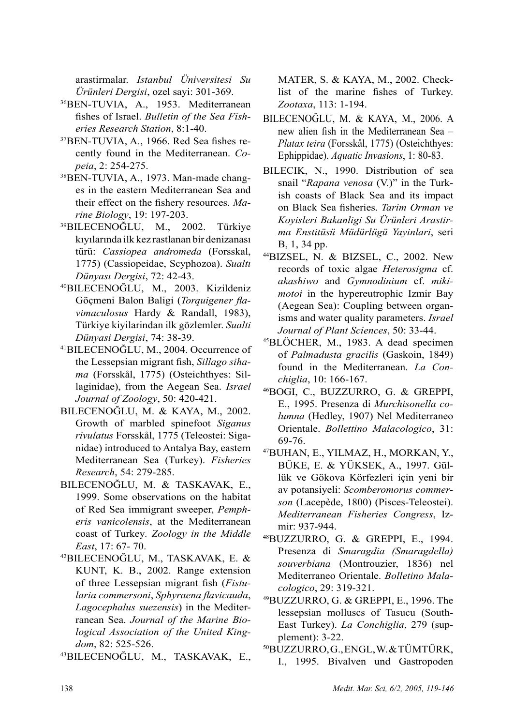arastirmalar. *Istanbul Üniversitesi Su Ürünleri Dergisi*, ozel sayi: 301-369.

- 36BEN-TUVIA, A., 1953. Mediterranean fishes of Israel. *Bulletin of the Sea Fisheries Research Station*, 8:1-40.
- 37BEN-TUVIA, A., 1966. Red Sea fishes recently found in the Mediterranean. *Copeia*, 2: 254-275.
- 38BEN-TUVIA, A., 1973. Man-made changes in the eastern Mediterranean Sea and their effect on the fishery resources. *Marine Biology*, 19: 197-203.
- <sup>39</sup>BILECENOĞLU, M., 2002. Türkiye kıyılarında ilk kez rastlanan bir denizanası türü: *Cassiopea andromeda* (Forsskal, 1775) (Cassiopeidae, Scyphozoa). *Sualtı Dünyası Dergisi*, 72: 42-43.
- <sup>40</sup>BILECENOĞLU, M., 2003. Kizildeniz Göçmeni Balon Baligi (*Torquigener flavimaculosus* Hardy & Randall, 1983), Türkiye kiyilarindan ilk gözlemler. *Sualti Dünyasi Dergisi*, 74: 38-39.
- <sup>41</sup>BILECENOĞLU, M., 2004. Occurrence of the Lessepsian migrant fish, *Sillago sihama* (Forsskål, 1775) (Osteichthyes: Sillaginidae), from the Aegean Sea. *Israel Journal of Zoology*, 50: 420-421.
- BILECENOĞLU, M. & KAYA, M., 2002. Growth of marbled spinefoot *Siganus rivulatus* Forsskål, 1775 (Teleostei: Siganidae) introduced to Antalya Bay, eastern Mediterranean Sea (Turkey). *Fisheries Research*, 54: 279-285.
- BILECENOĞLU, M. & TASKAVAK, E., 1999. Some observations on the habitat of Red Sea immigrant sweeper, *Pempheris vanicolensis*, at the Mediterranean coast of Turkey*. Zoology in the Middle East*, 17: 67- 70.
- <sup>42</sup>BILECENOĞLU, M., TASKAVAK, E. & KUNT, K. B., 2002. Range extension of three Lessepsian migrant fish (*Fistularia commersoni*, *Sphyraena flavicauda*, *Lagocephalus suezensis*) in the Mediterranean Sea. *Journal of the Marine Biological Association of the United Kingdom*, 82: 525-526.
- <sup>43</sup>BILECENOĞLU, M., TASKAVAK, E.,

MATER, S. & KAYA, M., 2002. Checklist of the marine fishes of Turkey. *Zootaxa*, 113: 1-194.

- BILECENOĞLU, M. & KAYA, M., 2006. A new alien fish in the Mediterranean Sea – *Platax teira* (Forsskål, 1775) (Osteichthyes: Ephippidae). *Aquatic Invasions*, 1: 80-83.
- BILECIK, N., 1990. Distribution of sea snail "*Rapana venosa* (V.)" in the Turkish coasts of Black Sea and its impact on Black Sea fisheries. *Tarim Orman ve Koyisleri Bakanligi Su Ürünleri Arastirma Enstitüsü Müdürlügü Yayinlari*, seri
- B, 1, 34 pp. 44BIZSEL, N. & BIZSEL, C., 2002. New records of toxic algae *Heterosigma* cf. *akashiwo* and *Gymnodinium* cf. *mikimotoi* in the hypereutrophic Izmir Bay (Aegean Sea): Coupling between organisms and water quality parameters. *Israel Journal of Plant Sciences*, 50: 33-44.
- 45BLÖCHER, M., 1983. A dead specimen of *Palmadusta gracilis* (Gaskoin, 1849) found in the Mediterranean. *La Conchiglia*, 10: 166-167.
- 46BOGI, C., BUZZURRO, G. & GREPPI, E., 1995. Presenza di *Murchisonella columna* (Hedley, 1907) Nel Mediterraneo Orientale. *Bollettino Malacologico*, 31:
- 69-76. 47BUHAN, E., YILMAZ, H., MORKAN, Y., BÜKE, E. & YÜKSEK, A., 1997. Güllük ve Gökova Körfezleri için yeni bir av potansiyeli: *Scomberomorus commerson* (Lacepède, 1800) (Pisces-Teleostei). *Mediterranean Fisheries Congress*, Izmir: 937-944.
- 48BUZZURRO, G. & GREPPI, E., 1994. Presenza di *Smaragdia (Smaragdella) souverbiana* (Montrouzier, 1836) nel Mediterraneo Orientale. *Bolletino Mala-*
- *cologico*, 29: 319-321. 49BUZZURRO, G. & GREPPI, E., 1996. The lessepsian molluscs of Tasucu (South-East Turkey). *La Conchiglia*, 279 (supplement): 3-22.
- 50BUZZURRO, G., ENGL, W. & TÜMTÜRK, I., 1995. Bivalven und Gastropoden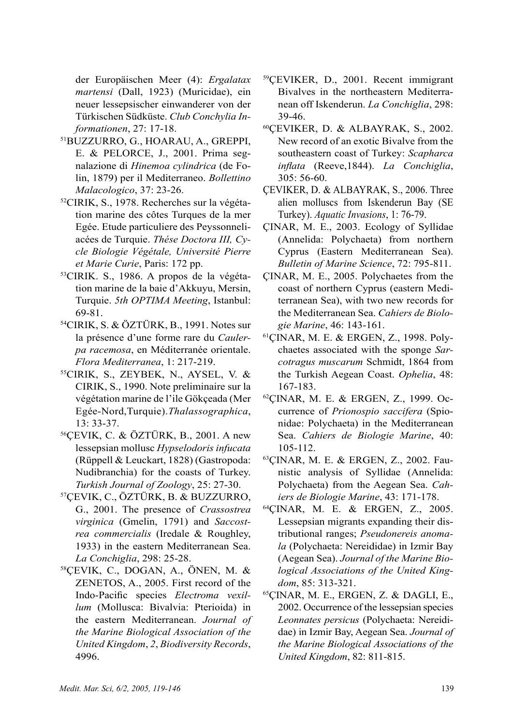der Europäischen Meer (4): *Ergalatax martensi* (Dall, 1923) (Muricidae), ein neuer lessepsischer einwanderer von der Türkischen Südküste. *Club Conchylia Informationen*, 27: 17-18. 51BUZZURRO, G., HOARAU, A., GREPPI,

- E. & PELORCE, J., 2001. Prima segnalazione di *Hinemoa cylindrica* (de Folin, 1879) per il Mediterraneo. *Bollettino Malacologico*, 37: 23-26.
- 52CIRIK, S., 1978. Recherches sur la végétation marine des côtes Turques de la mer Egée. Etude particuliere des Peyssonneliacées de Turquie. *Thése Doctora III, Cycle Biologie Végétale, Université Pierre et Marie Curie*, Paris: 172 pp.
- 53CIRIK. S., 1986. A propos de la végétation marine de la baie d'Akkuyu, Mersin, Turquie. *5th OPTIMA Meeting*, Istanbul: 69-81.
- 54CIRIK, S. & ÖZTÜRK, B., 1991. Notes sur la présence d'une forme rare du *Caulerpa racemosa*, en Méditerranée orientale. *Flora Mediterranea*, 1: 217-219.
- 55CIRIK, S., ZEYBEK, N., AYSEL, V. & CIRIK, S., 1990. Note preliminaire sur la végétation marine de l'ile Gökçeada (Mer Egée-Nord,Turquie).*Thalassographica*, 13: 33-37.
- 56ÇEVIK, C. & ÖZTÜRK, B., 2001. A new lessepsian mollusc *Hypselodoris infucata* (Rüppell & Leuckart, 1828) (Gastropoda: Nudibranchia) for the coasts of Turkey. *Turkish Journal of Zoology*, 25: 27-30.
- 57ÇEVIK, C., ÖZTÜRK, B. & BUZZURRO, G., 2001. The presence of *Crassostrea virginica* (Gmelin, 1791) and *Saccostrea commercialis* (Iredale & Roughley, 1933) in the eastern Mediterranean Sea. *La Conchiglia*, 298: 25-28.
- 58ÇEVIK, C., DOGAN, A., ÖNEN, M. & ZENETOS, A., 2005. First record of the Indo-Pacific species *Electroma vexillum* (Mollusca: Bivalvia: Pterioida) in the eastern Mediterranean. *Journal of the Marine Biological Association of the United Kingdom*, *2*, *Biodiversity Records*, 4996.
- 59ÇEVIKER, D., 2001. Recent immigrant Bivalves in the northeastern Mediterranean off Iskenderun. *La Conchiglia*, 298: 39-46.
- 60ÇEVIKER, D. & ALBAYRAK, S., 2002. New record of an exotic Bivalve from the southeastern coast of Turkey: *Scapharca inflata* (Reeve,1844). *La Conchiglia*, 305: 56-60.
- ÇEVIKER, D. & ALBAYRAK, S., 2006. Three alien molluscs from Iskenderun Bay (SE Turkey). *Aquatic Invasions*, 1: 76-79.
- ÇINAR, M. E., 2003. Ecology of Syllidae (Annelida: Polychaeta) from northern Cyprus (Eastern Mediterranean Sea). *Bulletin of Marine Science*, 72: 795-811.
- ÇINAR, M. E., 2005. Polychaetes from the coast of northern Cyprus (eastern Mediterranean Sea), with two new records for the Mediterranean Sea. *Cahiers de Biologie Marine*, 46: 143-161.
- 61ÇINAR, M. E. & ERGEN, Z., 1998. Polychaetes associated with the sponge *Sarcotragus muscarum* Schmidt, 1864 from the Turkish Aegean Coast. *Ophelia*, 48: 167-183.
- 62ÇINAR, M. E. & ERGEN, Z., 1999. Occurrence of *Prionospio saccifera* (Spionidae: Polychaeta) in the Mediterranean Sea. *Cahiers de Biologie Marine*, 40: 105-112.
- 63ÇINAR, M. E. & ERGEN, Z., 2002. Faunistic analysis of Syllidae (Annelida: Polychaeta) from the Aegean Sea. *Cahiers de Biologie Marine*, 43: 171-178.
- 64ÇINAR, M. E. & ERGEN, Z., 2005. Lessepsian migrants expanding their distributional ranges; *Pseudonereis anomala* (Polychaeta: Nereididae) in Izmir Bay (Aegean Sea). *Journal of the Marine Biological Associations of the United Kingdom*, 85: 313-321.
- 65ÇINAR, M. E., ERGEN, Z. & DAGLI, E., 2002. Occurrence of the lessepsian species *Leonnates persicus* (Polychaeta: Nereididae) in Izmir Bay, Aegean Sea. *Journal of the Marine Biological Associations of the United Kingdom*, 82: 811-815.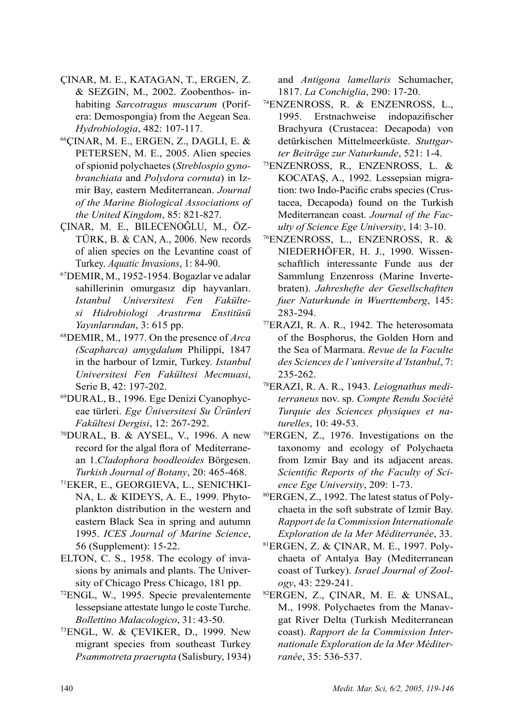- ÇINAR, M. E., KATAGAN, T., ERGEN, Z. & SEZGIN, M., 2002. Zoobenthos- inhabiting *Sarcotragus muscarum* (Porifera: Demospongia) from the Aegean Sea. *Hydrobiologia*, 482: 107-117.
- 66ÇINAR, M. E., ERGEN, Z., DAGLI, E. & PETERSEN, M. E., 2005. Alien species of spionid polychaetes (*Streblospio gynobranchiata* and *Polydora cornuta*) in Izmir Bay, eastern Mediterranean. *Journal of the Marine Biological Associations of the United Kingdom*, 85: 821-827.
- ÇINAR, M. E., BILECENOĞLU, M., ÖZ-TÜRK, B. & CAN, A., 2006. New records of alien species on the Levantine coast of Turkey. *Aquatic Invasions*, 1: 84-90.
- 67DEMIR, M., 1952-1954. Bogazlar ve adalar sahillerinin omurgasız dip hayvanları. *Istanbul Universitesi Fen Fakültesi Hidrobiologi Arastırma Enstitüsü Yayınlarından*, 3: 615 pp.
- 68DEMIR, M., 1977. On the presence of *Arca (Scapharca) amygdalum* Philippi, 1847 in the harbour of Izmir, Turkey. *Istanbul Universitesi Fen Fakültesi Mecmuasi*, Serie B, 42: 197-202.
- 69DURAL, B., 1996. Ege Denizi Cyanophyceae türleri. *Ege Üniversitesi Su Ürünleri Fakültesi Dergisi*, 12: 267-292.
- 70DURAL, B. & AYSEL, V., 1996. A new record for the algal flora of Mediterranean 1.*Cladophora boodleoides* Börgesen. *Turkish Journal of Botany*, 20: 465-468.
- 71EKER, E., GEORGIEVA, L., SENICHKI-NA, L. & KIDEYS, A. E., 1999. Phytoplankton distribution in the western and eastern Black Sea in spring and autumn 1995. *ICES Journal of Marine Science*, 56 (Supplement): 15-22.
- ELTON, C. S., 1958. The ecology of invasions by animals and plants. The University of Chicago Press Chicago, 181 pp.
- 72ENGL, W., 1995. Specie prevalentemente lessepsiane attestate lungo le coste Turche. *Bollettino Malacologico*, 31: 43-50.
- 73ENGL, W. & ÇEVIKER, D., 1999. New migrant species from southeast Turkey *Psammotreta praerupta* (Salisbury, 1934)

and *Antigona lamellaris* Schumacher,

- 1817. *La Conchiglia*, 290: 17-20. 74ENZENROSS, R. & ENZENROSS, L., 1995. Erstnachweise indopazifischer Brachyura (Crustacea: Decapoda) von detürkischen Mittelmeerküste. *Stuttgarter Beiträge zur Naturkunde*, 521: 1-4.
- 75ENZENROSS, R., ENZENROSS, L. & KOCATAŞ, A., 1992. Lessepsian migration: two Indo-Pacific crabs species (Crustacea, Decapoda) found on the Turkish Mediterranean coast. *Journal of the Faculty of Science Ege University*, 14: 3-10.
- 76ENZENROSS, L., ENZENROSS, R. & NIEDERHÖFER, H. J., 1990. Wissenschaftlich interessante Funde aus der Sammlung Enzenross (Marine Invertebraten). *Jahreshefte der Gesellschaftten fuer Naturkunde in Wuerttemberg*, 145:
- 283-294. 77ERAZI, R. A. R., 1942. The heterosomata of the Bosphorus, the Golden Horn and the Sea of Marmara. *Revue de la Faculte des Sciences de l'universite d'Istanbul*, 7: 235-262.
- 78ERAZI, R. A. R., 1943. *Leiognathus mediterraneus* nov. sp. *Compte Rendu Société Turquie des Sciences physiques et naturelles*, 10: 49-53.
- 79ERGEN, Z., 1976. Investigations on the taxonomy and ecology of Polychaeta from Izmir Bay and its adjacent areas. *Scientific Reports of the Faculty of Science Ege University*, 209: 1-73.
- 80ERGEN, Z., 1992. The latest status of Polychaeta in the soft substrate of Izmir Bay. *Rapport de la Commission Internationale Exploration de la Mer Méditerranée*, 33.
- 81ERGEN, Z. & ÇINAR, M. E., 1997. Polychaeta of Antalya Bay (Mediterranean coast of Turkey). *Israel Journal of Zoology*, 43: 229-241.
- 82ERGEN, Z., ÇINAR, M. E. & UNSAL, M., 1998. Polychaetes from the Manavgat River Delta (Turkish Mediterranean coast). *Rapport de la Commission Internationale Exploration de la Mer Méditerranée*, 35: 536-537.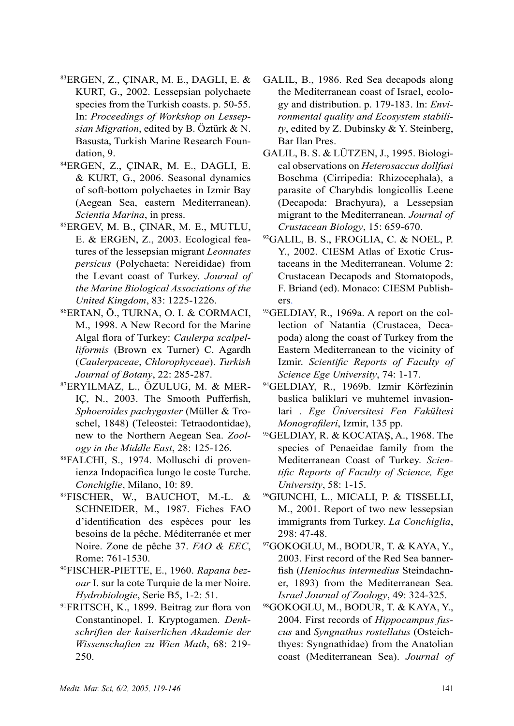- $83$ ERGEN, Z., CINAR, M. E., DAGLI, E. & KURT, G., 2002. Lessepsian polychaete species from the Turkish coasts. p. 50-55. In: *Proceedings of Workshop on Lessepsian Migration*, edited by B. Öztürk & N. Basusta, Turkish Marine Research Foundation, 9.
- 84ERGEN, Z., ÇINAR, M. E., DAGLI, E. & KURT, G., 2006. Seasonal dynamics of soft-bottom polychaetes in Izmir Bay (Aegean Sea, eastern Mediterranean). *Scientia Marina*, in press.
- 85ERGEV, M. B., ÇINAR, M. E., MUTLU, E. & ERGEN, Z., 2003. Ecological features of the lessepsian migrant *Leonnates persicus* (Polychaeta: Nereididae) from the Levant coast of Turkey. *Journal of the Marine Biological Associations of the United Kingdom*, 83: 1225-1226.
- 86ERTAN, Ö., TURNA, O. I. & CORMACI, M., 1998. A New Record for the Marine Algal flora of Turkey: *Caulerpa scalpelliformis* (Brown ex Turner) C. Agardh (*Caulerpaceae*, *Chlorophyceae*). *Turkish*
- *Journal of Botany*, 22: 285-287. 87ERYILMAZ, L., ÖZULUG, M. & MER-IÇ, N., 2003. The Smooth Pufferfish, *Sphoeroides pachygaster* (Müller & Troschel, 1848) (Teleostei: Tetraodontidae), new to the Northern Aegean Sea. *Zoology in the Middle East*, 28: 125-126.
- 88FALCHI, S., 1974. Molluschi di provenienza Indopacifica lungo le coste Turche. *Conchiglie*, Milano, 10: 89.
- 89FISCHER, W., BAUCHOT, M.-L. & SCHNEIDER, M., 1987. Fiches FAO d'identification des espèces pour les besoins de la pêche. Méditerranée et mer Noire. Zone de pêche 37. *FAO & EEC*, Rome: 761-1530.
- 90FISCHER-PIETTE, E., 1960. *Rapana bezoar* I. sur la cote Turquie de la mer Noire. *Hydrobiologie*, Serie B5, 1-2: 51.
- <sup>91</sup>FRITSCH, K., 1899. Beitrag zur flora von Constantinopel. I. Kryptogamen. *Denkschriften der kaiserlichen Akademie der Wissenschaften zu Wien Math*, 68: 219- 250.
- GALIL, B., 1986. Red Sea decapods along the Mediterranean coast of Israel, ecology and distribution. p. 179-183. In: *Environmental quality and Ecosystem stability*, edited by Z. Dubinsky & Y. Steinberg, Bar Ilan Pres.
- GALIL, B. S. & LÜTZEN, J., 1995. Biological observations on *Heterosaccus dollfusi*  Boschma (Cirripedia: Rhizocephala), a parasite of Charybdis longicollis Leene (Decapoda: Brachyura), a Lessepsian migrant to the Mediterranean. *Journal of Crustacean Biology*, 15: 659-670. 92GALIL, B. S., FROGLIA, C. & NOEL, P.
- Y., 2002. CIESM Atlas of Exotic Crustaceans in the Mediterranean. Volume 2: Crustacean Decapods and Stomatopods, F. Briand (ed). Monaco: CIESM Publish-
- ers. 93GELDIAY, R., 1969a. A report on the collection of Natantia (Crustacea, Decapoda) along the coast of Turkey from the Eastern Mediterranean to the vicinity of Izmir. *Scientific Reports of Faculty of Science Ege University*, 74: 1-17.
- 94GELDIAY, R., 1969b. Izmir Körfezinin baslica baliklari ve muhtemel invasionlari . *Ege Üniversitesi Fen Fakültesi Monografileri*, Izmir, 135 pp.
- <sup>95</sup>GELDIAY, R. & KOCATAŞ, A., 1968. The species of Penaeidae family from the Mediterranean Coast of Turkey. *Scientific Reports of Faculty of Science, Ege University*, 58: 1-15.
- 96GIUNCHI, L., MICALI, P. & TISSELLI, M., 2001. Report of two new lessepsian immigrants from Turkey. *La Conchiglia*, 298: 47-48.
- 97GOKOGLU, M., BODUR, T. & KAYA, Y., 2003. First record of the Red Sea bannerfish (*Heniochus intermedius* Steindachner, 1893) from the Mediterranean Sea. *Israel Journal of Zoology*, 49: 324-325.
- 98GOKOGLU, M., BODUR, T. & KAYA, Y., 2004. First records of *Hippocampus fuscus* and *Syngnathus rostellatus* (Osteichthyes: Syngnathidae) from the Anatolian coast (Mediterranean Sea). *Journal of*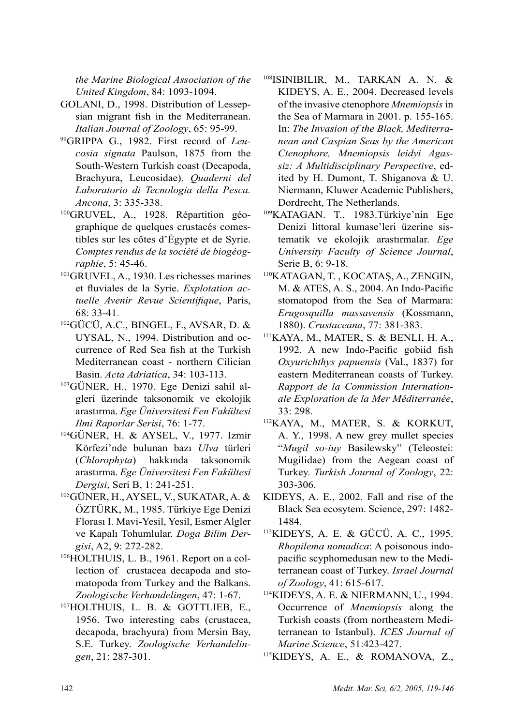*the Marine Biological Association of the United Kingdom*, 84: 1093-1094.

- GOLANI, D., 1998. Distribution of Lessepsian migrant fish in the Mediterranean. *Italian Journal of Zoology*, 65: 95-99.
- 99GRIPPA G., 1982. First record of *Leucosia signata* Paulson, 1875 from the South-Western Turkish coast (Decapoda, Brachyura, Leucosidae). *Quaderni del Laboratorio di Tecnologia della Pesca. Ancona*, 3: 335-338.
- 100GRUVEL, A., 1928. Répartition géographique de quelques crustacés comestibles sur les côtes d'Égypte et de Syrie. *Comptes rendus de la société de biogéographie*, 5: 45-46.
- 101GRUVEL, A., 1930. Les richesses marines et fluviales de la Syrie. *Explotation actuelle Avenir Revue Scientifique*, Paris, 68: 33-41.
- 102GÜCÜ, A.C., BINGEL, F., AVSAR, D. & UYSAL, N., 1994. Distribution and occurrence of Red Sea fish at the Turkish Mediterranean coast - northern Cilician Basin. *Acta Adriatica*, 34: 103-113.
- 103GÜNER, H., 1970. Ege Denizi sahil algleri üzerinde taksonomik ve ekolojik arastırma. *Ege Üniversitesi Fen Fakültesi Ilmi Raporlar Serisi*, 76: 1-77.
- 104GÜNER, H. & AYSEL, V., 1977. Izmir Körfezi'nde bulunan bazı *Ulva* türleri (*Chlorophyta*) hakkında taksonomik arastırma. *Ege Üniversitesi Fen Fakültesi Dergisi*, Seri B, 1: 241-251.
- 105GÜNER, H., AYSEL, V., SUKATAR, A. & ÖZTÜRK, M., 1985. Türkiye Ege Denizi Florası I. Mavi-Yesil, Yesil, Esmer Algler ve Kapalı Tohumlular. *Doga Bilim Dergisi*, A2, 9: 272-282.
- 106HOLTHUIS, L. B., 1961. Report on a collection of crustacea decapoda and stomatopoda from Turkey and the Balkans. *Zoologische Verhandelingen*, 47: 1-67.
- 107HOLTHUIS, L. B. & GOTTLIEB, E., 1956. Two interesting cabs (crustacea, decapoda, brachyura) from Mersin Bay, S.E. Turkey. *Zoologische Verhandelingen*, 21: 287-301.
- 108ISINIBILIR, M., TARKAN A. N. & KIDEYS, A. E., 2004. Decreased levels of the invasive ctenophore *Mnemiopsis* in the Sea of Marmara in 2001. p. 155-165. In: *The Invasion of the Black, Mediterranean and Caspian Seas by the American Ctenophore, Mnemiopsis leidyi Agassiz: A Multidisciplinary Perspective*, edited by H. Dumont, T. Shiganova & U. Niermann, Kluwer Academic Publishers, Dordrecht, The Netherlands.
- 109KATAGAN. T., 1983.Türkiye'nin Ege Denizi littoral kumase'leri üzerine sistematik ve ekolojik arastırmalar. *Ege University Faculty of Science Journal*, Serie B, 6: 9-18.
- <sup>110</sup>KATAGAN, T. , KOCATAŞ, A., ZENGIN, M. & ATES, A. S., 2004. An Indo-Pacific stomatopod from the Sea of Marmara: *Erugosquilla massavensis* (Kossmann, 1880). *Crustaceana*, 77: 381-383.
- 111KAYA, M., MATER, S. & BENLI, H. A., 1992. A new Indo-Pacific gobiid fish *Oxyurichthys papuensis* (Val., 1837) for eastern Mediterranean coasts of Turkey. *Rapport de la Commission Internationale Exploration de la Mer Méditerranée*, 33: 298.
- 112KAYA, M., MATER, S. & KORKUT, A. Y., 1998. A new grey mullet species "*Mugil so-iuy* Basilewsky" (Teleostei: Mugilidae) from the Aegean coast of Turkey. *Turkish Journal of Zoology*, 22: 303-306.
- KIDEYS, A. E., 2002. Fall and rise of the Black Sea ecosytem. Science, 297: 1482- 1484.
- 113KIDEYS, A. E. & GÜCÜ, A. C., 1995. *Rhopilema nomadica*: A poisonous indopacific scyphomedusan new to the Mediterranean coast of Turkey. *Israel Journal of Zoology*, 41: 615-617.
- 114KIDEYS, A. E. & NIERMANN, U., 1994. Occurrence of *Mnemiopsis* along the Turkish coasts (from northeastern Mediterranean to Istanbul). *ICES Journal of Marine Science*, 51:423-427.
- 115KIDEYS, A. E., & ROMANOVA, Z.,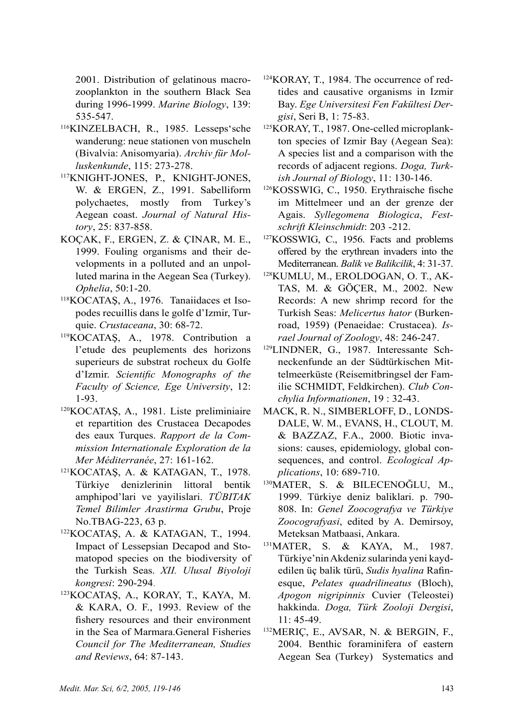2001. Distribution of gelatinous macrozooplankton in the southern Black Sea during 1996-1999. *Marine Biology*, 139: 535-547.

- 116KINZELBACH, R., 1985. Lesseps'sche wanderung: neue stationen von muscheln (Bivalvia: Anisomyaria). *Archiv für Molluskenkunde*, 115: 273-278.
- 117KNIGHT-JONES, P., KNIGHT-JONES, W. & ERGEN, Z., 1991. Sabelliform polychaetes, mostly from Turkey's Aegean coast. *Journal of Natural History*, 25: 837-858.
- KOÇAK, F., ERGEN, Z. & ÇINAR, M. E., 1999. Fouling organisms and their developments in a polluted and an unpolluted marina in the Aegean Sea (Turkey). *Ophelia*, 50:1-20.
- 118KOCATAŞ, A., 1976. Tanaiidaces et Isopodes recuillis dans le golfe d'Izmir, Turquie. *Crustaceana*, 30: 68-72.<br><sup>119</sup>KOCATAS, A., 1978. Contribution a
- l'etude des peuplements des horizons superieurs de substrat rocheux du Golfe d'Izmir. *Scientific Monographs of the Faculty of Science, Ege University*, 12: 1-93.
- <sup>120</sup>KOCATAŞ, A., 1981. Liste preliminiaire et repartition des Crustacea Decapodes des eaux Turques. *Rapport de la Commission Internationale Exploration de la Mer Méditerranée*, 27: 161-162.
- <sup>121</sup>KOCATAŞ, A. & KATAGAN, T., 1978. Türkiye denizlerinin littoral bentik amphipod'lari ve yayilislari. *TÜBITAK Temel Bilimler Arastirma Grubu*, Proje No.TBAG-223, 63 p.
- <sup>122</sup>KOCATAŞ, A. & KATAGAN, T., 1994. Impact of Lessepsian Decapod and Stomatopod species on the biodiversity of the Turkish Seas. *XII. Ulusal Biyoloji kongresi*: 290-294.
- <sup>123</sup>KOCATAŞ, A., KORAY, T., KAYA, M. & KARA, O. F., 1993. Review of the fishery resources and their environment in the Sea of Marmara.General Fisheries *Council for The Mediterranean, Studies and Reviews*, 64: 87-143.
- 124KORAY, T., 1984. The occurrence of redtides and causative organisms in Izmir Bay. *Ege Universitesi Fen Fakültesi Der-*
- *gisi*, Seri B, 1: 75-83. 125KORAY, T., 1987. One-celled microplankton species of Izmir Bay (Aegean Sea): A species list and a comparison with the records of adjacent regions. *Doga, Turkish Journal of Biology*, 11: 130-146.
- <sup>126</sup>KOSSWIG, C., 1950. Erythraische fische im Mittelmeer und an der grenze der Agais. *Syllegomena Biologica*, *Festschrift Kleinschmidt*: 203 -212.
- 127KOSSWIG, C., 1956. Facts and problems offered by the erythrean invaders into the Mediterranean. *Balik ve Balikcilik*, 4: 31-37.
- 128KUMLU, M., EROLDOGAN, O. T., AK-TAS, M. & GÖÇER, M., 2002. New Records: A new shrimp record for the Turkish Seas: *Melicertus hator* (Burkenroad, 1959) (Penaeidae: Crustacea). *Israel Journal of Zoology*, 48: 246-247.
- 129LINDNER, G., 1987. Interessante Schneckenfunde an der Südtürkischen Mittelmeerküste (Reisemitbringsel der Familie SCHMIDT, Feldkirchen). *Club Conchylia Informationen*, 19 : 32-43.
- MACK, R. N., SIMBERLOFF, D., LONDS-DALE, W. M., EVANS, H., CLOUT, M. & BAZZAZ, F.A., 2000. Biotic invasions: causes, epidemiology, global consequences, and control. *Ecological Applications*, 10: 689-710.
- <sup>130</sup>MATER, S. & BILECENOĞLU, M., 1999. Türkiye deniz baliklari. p. 790- 808. In: *Genel Zoocografya ve Türkiye Zoocografyasi*, edited by A. Demirsoy, Meteksan Matbaasi, Ankara.
- 131MATER, S. & KAYA, M., 1987. Türkiye'nin Akdeniz sularinda yeni kaydedilen üç balik türü, *Sudis hyalina* Rafinesque, *Pelates quadrilineatus* (Bloch), *Apogon nigripinnis* Cuvier (Teleostei) hakkinda. *Doga, Türk Zooloji Dergisi*, 11: 45-49.
- 132MERIÇ, E., AVSAR, N. & BERGIN, F., 2004. Benthic foraminifera of eastern Aegean Sea (Turkey) Systematics and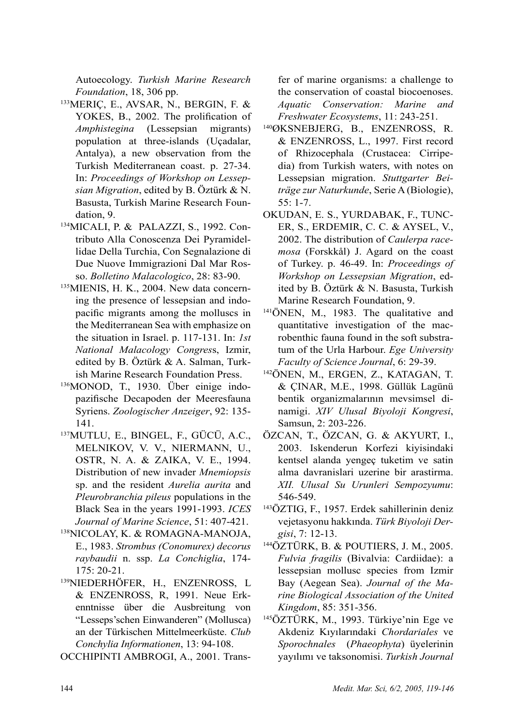Autoecology. *Turkish Marine Research* 

- <sup>133</sup>MERIÇ, E., AVSAR, N., BERGIN, F. & YOKES, B., 2002. The prolification of *Amphistegina* (Lessepsian migrants) population at three-islands (Uçadalar, Antalya), a new observation from the Turkish Mediterranean coast. p. 27-34. In: *Proceedings of Workshop on Lessepsian Migration*, edited by B. Öztürk & N. Basusta, Turkish Marine Research Foundation, 9.
- 134MICALI, P. & PALAZZI, S., 1992. Contributo Alla Conoscenza Dei Pyramidellidae Della Turchia, Con Segnalazione di Due Nuove Immigrazioni Dal Mar Rosso. *Bolletino Malacologico*, 28: 83-90.
- 135MIENIS, H. K., 2004. New data concerning the presence of lessepsian and indopacific migrants among the molluscs in the Mediterranean Sea with emphasize on the situation in Israel. p. 117-131. In: *1st National Malacology Congres*s, Izmir, edited by B. Öztürk & A. Salman, Turkish Marine Research Foundation Press.
- 136MONOD, T., 1930. Über einige indopazifische Decapoden der Meeresfauna Syriens. *Zoologischer Anzeiger*, 92: 135- 141.
- 137MUTLU, E., BINGEL, F., GÜCÜ, A.C., MELNIKOV, V. V., NIERMANN, U., OSTR, N. A. & ZAIKA, V. E., 1994. Distribution of new invader *Mnemiopsis* sp. and the resident *Aurelia aurita* and *Pleurobranchia pileus* populations in the Black Sea in the years 1991-1993. *ICES Journal of Marine Science*, 51: 407-421.<br><sup>138</sup>NICOLAY, K. & ROMAGNA-MANOJA,
- E., 1983. *Strombus (Conomurex) decorus raybaudii* n. ssp. *La Conchiglia*, 174- 175: 20-21.
- 139NIEDERHÖFER, H., ENZENROSS, L & ENZENROSS, R, 1991. Neue Erkenntnisse über die Ausbreitung von "Lesseps'schen Einwanderen" (Mollusca) an der Türkischen Mittelmeerküste. *Club Conchylia Informationen*, 13: 94-108.

OCCHIPINTI AMBROGI, A., 2001. Trans-

fer of marine organisms: a challenge to the conservation of coastal biocoenoses. *Aquatic Conservation: Marine and Freshwater Ecosystems*, 11: 243-251.

- 140ØKSNEBJERG, B., ENZENROSS, R. & ENZENROSS, L., 1997. First record of Rhizocephala (Crustacea: Cirripedia) from Turkish waters, with notes on Lessepsian migration. *Stuttgarter Beiträge zur Naturkunde*, Serie A (Biologie), 55: 1-7.
- OKUDAN, E. S., YURDABAK, F., TUNC-ER, S., ERDEMIR, C. C. & AYSEL, V., 2002. The distribution of *Caulerpa racemosa* (Forskkål) J. Agard on the coast of Turkey. p. 46-49. In: *Proceedings of Workshop on Lessepsian Migration*, edited by B. Öztürk & N. Basusta, Turkish Marine Research Foundation, 9.
- 141ÖNEN, M., 1983. The qualitative and quantitative investigation of the macrobenthic fauna found in the soft substratum of the Urla Harbour. *Ege University Faculty of Science Journal*, 6: 29-39.
- 142ÖNEN, M., ERGEN, Z., KATAGAN, T. & ÇINAR, M.E., 1998. Güllük Lagünü bentik organizmalarının mevsimsel dinamigi. *XIV Ulusal Biyoloji Kongresi*, Samsun, 2: 203-226.
- ÖZCAN, T., ÖZCAN, G. & AKYURT, I., 2003. Iskenderun Korfezi kiyisindaki kentsel alanda yengeç tuketim ve satin alma davranislari uzerine bir arastirma. *XII. Ulusal Su Urunleri Sempozyumu*: 546-549.
- 143ÖZTIG, F., 1957. Erdek sahillerinin deniz vejetasyonu hakkında. *Türk Biyoloji Dergisi*, 7: 12-13.
- 144ÖZTÜRK, B. & POUTIERS, J. M., 2005. *Fulvia fragilis* (Bivalvia: Cardiidae): a lessepsian mollusc species from Izmir Bay (Aegean Sea). *Journal of the Marine Biological Association of the United Kingdom*, 85: 351-356.
- 145ÖZTÜRK, M., 1993. Türkiye'nin Ege ve Akdeniz Kıyılarındaki *Chordariales* ve *Sporochnales* (*Phaeophyta*) üyelerinin yayılımı ve taksonomisi. *Turkish Journal*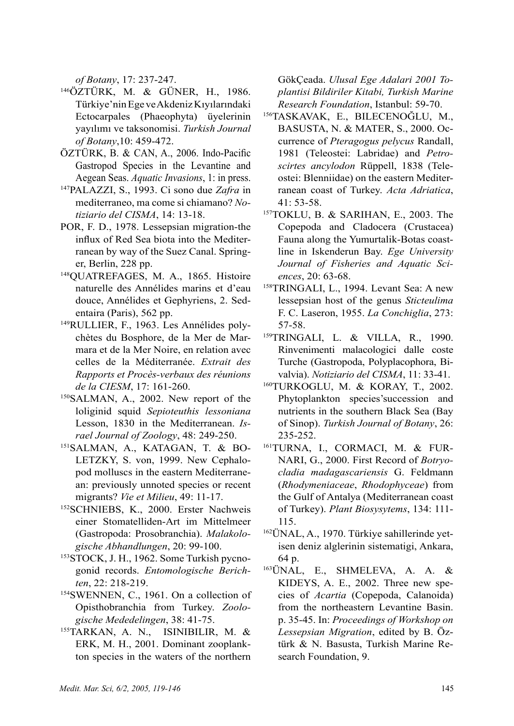*of Botany*, 17: 237-247.

- 146ÖZTÜRK, M. & GÜNER, H., 1986. Türkiye'nin Ege ve Akdeniz Kıyılarındaki Ectocarpales (Phaeophyta) üyelerinin yayılımı ve taksonomisi. *Turkish Journal of Botany*,10: 459-472.
- ÖZTÜRK, B. & CAN, A., 2006. Indo-Pacific Gastropod Species in the Levantine and Aegean Seas. *Aquatic Invasions*, 1: in press.
- 147PALAZZI, S., 1993. Ci sono due *Zafra* in mediterraneo, ma come si chiamano? *Notiziario del CISMA*, 14: 13-18.
- POR, F. D., 1978. Lessepsian migration-the influx of Red Sea biota into the Mediterranean by way of the Suez Canal. Springer, Berlin, 228 pp.
- 148QUATREFAGES, M. A., 1865. Histoire naturelle des Annélides marins et d'eau douce, Annélides et Gephyriens, 2. Sedentaira (Paris), 562 pp.
- 149RULLIER, F., 1963. Les Annélides polychètes du Bosphore, de la Mer de Marmara et de la Mer Noire, en relation avec celles de la Méditerranée. *Extrait des Rapports et Procès-verbaux des réunions de la CIESM*, 17: 161-260.
- 150SALMAN, A., 2002. New report of the loliginid squid *Sepioteuthis lessoniana* Lesson, 1830 in the Mediterranean. *Israel Journal of Zoology*, 48: 249-250.
- 151SALMAN, A., KATAGAN, T. & BO-LETZKY, S. von, 1999. New Cephalopod molluscs in the eastern Mediterranean: previously unnoted species or recent migrants? *Vie et Milieu*, 49: 11-17.
- 152SCHNIEBS, K., 2000. Erster Nachweis einer Stomatelliden-Art im Mittelmeer (Gastropoda: Prosobranchia). *Malakologische Abhandlungen*, 20: 99-100.
- 153STOCK, J. H., 1962. Some Turkish pycnogonid records. *Entomologische Berichten*, 22: 218-219.<br><sup>154</sup>SWENNEN, C., 1961. On a collection of
- Opisthobranchia from Turkey. *Zoologische Mededelingen*, 38: 41-75.
- 155TARKAN, A. N., ISINIBILIR, M. & ERK, M. H., 2001. Dominant zooplankton species in the waters of the northern

GökÇeada. *Ulusal Ege Adalari 2001 Toplantisi Bildiriler Kitabi, Turkish Marine Research Foundation*, Istanbul: 59-70.

- <sup>156</sup>TASKAVAK, E., BILECENOĞLU, M., BASUSTA, N. & MATER, S., 2000. Occurrence of *Pteragogus pelycus* Randall, 1981 (Teleostei: Labridae) and *Petroscirtes ancylodon* Rüppell, 1838 (Teleostei: Blenniidae) on the eastern Mediterranean coast of Turkey. *Acta Adriatica*, 41: 53-58.
- 157TOKLU, B. & SARIHAN, E., 2003. The Copepoda and Cladocera (Crustacea) Fauna along the Yumurtalik-Botas coastline in Iskenderun Bay. *Ege University Journal of Fisheries and Aquatic Sciences*, 20: 63-68.
- 158TRINGALI, L., 1994. Levant Sea: A new lessepsian host of the genus *Sticteulima* F. C. Laseron, 1955. *La Conchiglia*, 273: 57-58.
- 159TRINGALI, L. & VILLA, R., 1990. Rinvenimenti malacologici dalle coste Turche (Gastropoda, Polyplacophora, Bivalvia). *Notiziario del CISMA*, 11: 33-41.
- 160TURKOGLU, M. & KORAY, T., 2002. Phytoplankton species'succession and nutrients in the southern Black Sea (Bay of Sinop). *Turkish Journal of Botany*, 26: 235-252.
- 161TURNA, I., CORMACI, M. & FUR-NARI, G., 2000. First Record of *Botryocladia madagascariensis* G. Feldmann (*Rhodymeniaceae*, *Rhodophyceae*) from the Gulf of Antalya (Mediterranean coast of Turkey). *Plant Biosysytems*, 134: 111-
- 115. 162ÜNAL, A., 1970. Türkiye sahillerinde yetisen deniz alglerinin sistematigi, Ankara, 64 p.
- 163ÜNAL, E., SHMELEVA, A. A. & KIDEYS, A. E., 2002. Three new species of *Acartia* (Copepoda, Calanoida) from the northeastern Levantine Basin. p. 35-45. In: *Proceedings of Workshop on Lessepsian Migration*, edited by B. Öztürk & N. Basusta, Turkish Marine Research Foundation, 9.